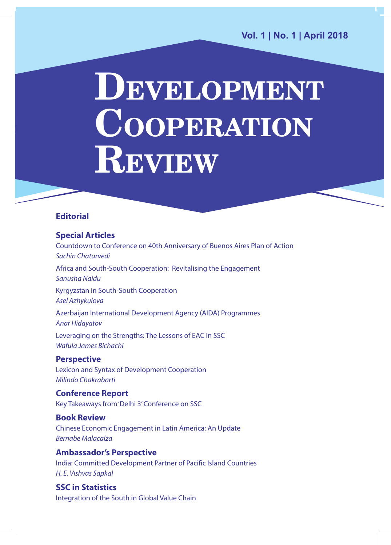# **DEVELOPMENT COOPERATION REVIEW**

### **Editorial**

### **Special Articles**

Countdown to Conference on 40th Anniversary of Buenos Aires Plan of Action *Sachin Chaturvedi* Africa and South-South Cooperation: Revitalising the Engagement *Sanusha Naidu* Kyrgyzstan in South-South Cooperation *Asel Azhykulova* Azerbaijan International Development Agency (AIDA) Programmes *Anar Hidayatov* Leveraging on the Strengths: The Lessons of EAC in SSC *Wafula James Bichachi* 

### **Perspective**

Lexicon and Syntax of Development Cooperation *Milindo Chakrabarti* 

**Conference Report** Key Takeaways from 'Delhi 3' Conference on SSC

**Book Review** Chinese Economic Engagement in Latin America: An Update *Bernabe Malacalza* 

**Ambassador's Perspective**  India: Committed Development Partner of Pacific Island Countries *H. E. Vishvas Sapkal*

**SSC in Statistics**  Integration of the South in Global Value Chain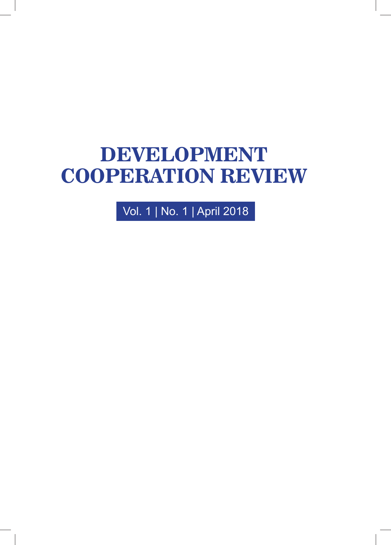## **DEVELOPMENT COOPERATION REVIEW**

Vol. 1 | No. 1 | April 2018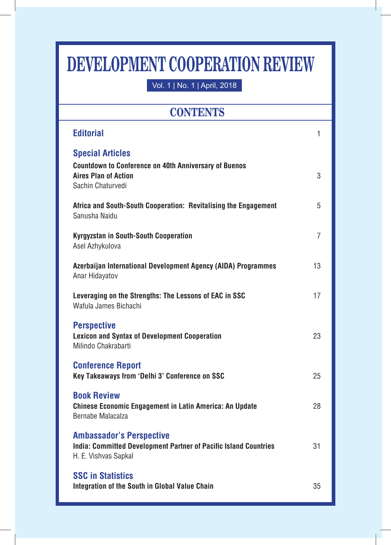## **DEVELOPMENT COOPERATION REVIEW**

Vol. 1 | No. 1 | April, 2018

## **CONTENTS**

| <b>Editorial</b>                                                                                                                            | 1              |
|---------------------------------------------------------------------------------------------------------------------------------------------|----------------|
| <b>Special Articles</b><br><b>Countdown to Conference on 40th Anniversary of Buenos</b><br><b>Aires Plan of Action</b><br>Sachin Chaturvedi | 3              |
| Africa and South-South Cooperation: Revitalising the Engagement<br>Sanusha Naidu                                                            | 5              |
| <b>Kyrgyzstan in South-South Cooperation</b><br>Asel Azhykulova                                                                             | $\overline{7}$ |
| Azerbaijan International Development Agency (AIDA) Programmes<br>Anar Hidayatov                                                             | 13             |
| Leveraging on the Strengths: The Lessons of EAC in SSC<br>Wafula James Bichachi                                                             | 17             |
| <b>Perspective</b><br><b>Lexicon and Syntax of Development Cooperation</b><br>Milindo Chakrabarti                                           | 23             |
| <b>Conference Report</b><br>Key Takeaways from 'Delhi 3' Conference on SSC                                                                  | 25             |
| <b>Book Review</b><br><b>Chinese Economic Engagement in Latin America: An Update</b><br>Bernabe Malacalza                                   | 28             |
| <b>Ambassador's Perspective</b><br><b>India: Committed Development Partner of Pacific Island Countries</b><br>H. E. Vishvas Sapkal          | 31             |
| <b>SSC in Statistics</b><br>Integration of the South in Global Value Chain                                                                  | 35             |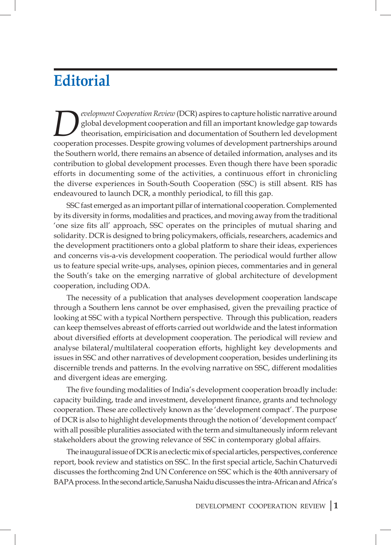## **Editorial**

*Development Cooperation Review* (DCR) aspires to capture holistic narrative around global development cooperation and fill an important knowledge gap towards theorisation, empiricisation and documentation of Southern led development cooperation processes. Despite growing volumes of development partnerships around the Southern world, there remains an absence of detailed information, analyses and its contribution to global development processes. Even though there have been sporadic efforts in documenting some of the activities, a continuous effort in chronicling the diverse experiences in South-South Cooperation (SSC) is still absent. RIS has endeavoured to launch DCR, a monthly periodical, to fill this gap.

SSC fast emerged as an important pillar of international cooperation. Complemented by its diversity in forms, modalities and practices, and moving away from the traditional 'one size fits all' approach, SSC operates on the principles of mutual sharing and solidarity. DCR is designed to bring policymakers, officials, researchers, academics and the development practitioners onto a global platform to share their ideas, experiences and concerns vis-a-vis development cooperation. The periodical would further allow us to feature special write-ups, analyses, opinion pieces, commentaries and in general the South's take on the emerging narrative of global architecture of development cooperation, including ODA.

The necessity of a publication that analyses development cooperation landscape through a Southern lens cannot be over emphasised, given the prevailing practice of looking at SSC with a typical Northern perspective. Through this publication, readers can keep themselves abreast of efforts carried out worldwide and the latest information about diversified efforts at development cooperation. The periodical will review and analyse bilateral/multilateral cooperation efforts, highlight key developments and issues in SSC and other narratives of development cooperation, besides underlining its discernible trends and patterns. In the evolving narrative on SSC, different modalities and divergent ideas are emerging.

The five founding modalities of India's development cooperation broadly include: capacity building, trade and investment, development finance, grants and technology cooperation. These are collectively known as the 'development compact'. The purpose of DCR is also to highlight developments through the notion of 'development compact' with all possible pluralities associated with the term and simultaneously inform relevant stakeholders about the growing relevance of SSC in contemporary global affairs.

The inaugural issue of DCR is an eclectic mix of special articles, perspectives, conference report, book review and statistics on SSC. In the first special article, Sachin Chaturvedi discusses the forthcoming 2nd UN Conference on SSC which is the 40th anniversary of BAPA process. In the second article, Sanusha Naidu discusses the intra-African and Africa's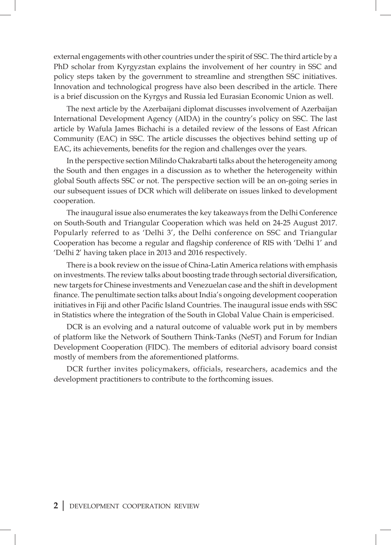external engagements with other countries under the spirit of SSC. The third article by a PhD scholar from Kyrgyzstan explains the involvement of her country in SSC and policy steps taken by the government to streamline and strengthen SSC initiatives. Innovation and technological progress have also been described in the article. There is a brief discussion on the Kyrgys and Russia led Eurasian Economic Union as well.

The next article by the Azerbaijani diplomat discusses involvement of Azerbaijan International Development Agency (AIDA) in the country's policy on SSC. The last article by Wafula James Bichachi is a detailed review of the lessons of East African Community (EAC) in SSC. The article discusses the objectives behind setting up of EAC, its achievements, benefits for the region and challenges over the years.

In the perspective section Milindo Chakrabarti talks about the heterogeneity among the South and then engages in a discussion as to whether the heterogeneity within global South affects SSC or not. The perspective section will be an on-going series in our subsequent issues of DCR which will deliberate on issues linked to development cooperation.

The inaugural issue also enumerates the key takeaways from the Delhi Conference on South-South and Triangular Cooperation which was held on 24-25 August 2017. Popularly referred to as 'Delhi 3', the Delhi conference on SSC and Triangular Cooperation has become a regular and flagship conference of RIS with 'Delhi 1' and 'Delhi 2' having taken place in 2013 and 2016 respectively.

There is a book review on the issue of China-Latin America relations with emphasis on investments. The review talks about boosting trade through sectorial diversification, new targets for Chinese investments and Venezuelan case and the shift in development finance. The penultimate section talks about India's ongoing development cooperation initiatives in Fiji and other Pacific Island Countries. The inaugural issue ends with SSC in Statistics where the integration of the South in Global Value Chain is empericised.

DCR is an evolving and a natural outcome of valuable work put in by members of platform like the Network of Southern Think-Tanks (NeST) and Forum for Indian Development Cooperation (FIDC). The members of editorial advisory board consist mostly of members from the aforementioned platforms.

DCR further invites policymakers, officials, researchers, academics and the development practitioners to contribute to the forthcoming issues.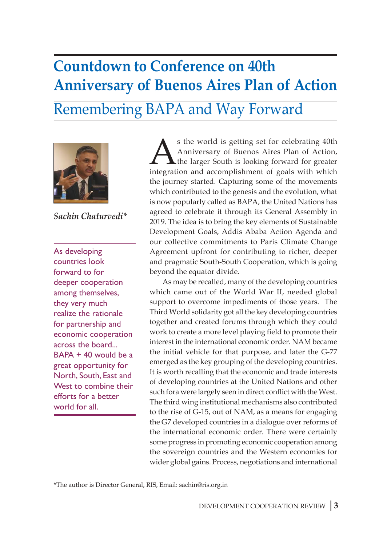## **Countdown to Conference on 40th Anniversary of Buenos Aires Plan of Action** Remembering BAPA and Way Forward



*Sachin Chaturvedi\**

As developing countries look forward to for deeper cooperation among themselves, they very much realize the rationale for partnership and economic cooperation across the board... BAPA + 40 would be a great opportunity for North, South, East and West to combine their efforts for a better world for all.

S the world is getting set for celebrating 40th<br>Anniversary of Buenos Aires Plan of Action,<br>the larger South is looking forward for greater<br>integration and accomplishment of goals with which Anniversary of Buenos Aires Plan of Action, the larger South is looking forward for greater integration and accomplishment of goals with which the journey started. Capturing some of the movements which contributed to the genesis and the evolution, what is now popularly called as BAPA, the United Nations has agreed to celebrate it through its General Assembly in 2019. The idea is to bring the key elements of Sustainable Development Goals, Addis Ababa Action Agenda and our collective commitments to Paris Climate Change Agreement upfront for contributing to richer, deeper and pragmatic South-South Cooperation, which is going beyond the equator divide.

As may be recalled, many of the developing countries which came out of the World War II, needed global support to overcome impediments of those years. The Third World solidarity got all the key developing countries together and created forums through which they could work to create a more level playing field to promote their interest in the international economic order. NAM became the initial vehicle for that purpose, and later the G-77 emerged as the key grouping of the developing countries. It is worth recalling that the economic and trade interests of developing countries at the United Nations and other such fora were largely seen in direct conflict with the West. The third wing institutional mechanisms also contributed to the rise of G-15, out of NAM, as a means for engaging the G7 developed countries in a dialogue over reforms of the international economic order. There were certainly some progress in promoting economic cooperation among the sovereign countries and the Western economies for wider global gains. Process, negotiations and international

<sup>\*</sup>The author is Director General, RIS, Email: sachin@ris.org.in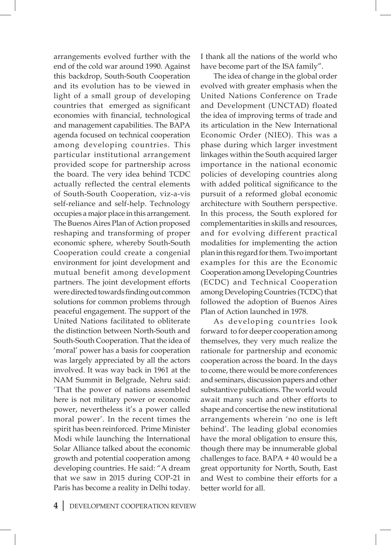arrangements evolved further with the end of the cold war around 1990. Against this backdrop, South-South Cooperation and its evolution has to be viewed in light of a small group of developing countries that emerged as significant economies with financial, technological and management capabilities. The BAPA agenda focused on technical cooperation among developing countries. This particular institutional arrangement provided scope for partnership across the board. The very idea behind TCDC actually reflected the central elements of South-South Cooperation, viz-a-vis self-reliance and self-help. Technology occupies a major place in this arrangement. The Buenos Aires Plan of Action proposed reshaping and transforming of proper economic sphere, whereby South-South Cooperation could create a congenial environment for joint development and mutual benefit among development partners. The joint development efforts were directed towards finding out common solutions for common problems through peaceful engagement. The support of the United Nations facilitated to obliterate the distinction between North-South and South-South Cooperation. That the idea of 'moral' power has a basis for cooperation was largely appreciated by all the actors involved. It was way back in 1961 at the NAM Summit in Belgrade, Nehru said: 'That the power of nations assembled here is not military power or economic power, nevertheless it's a power called moral power'. In the recent times the spirit has been reinforced. Prime Minister Modi while launching the International Solar Alliance talked about the economic growth and potential cooperation among developing countries. He said: "A dream that we saw in 2015 during COP-21 in Paris has become a reality in Delhi today.

I thank all the nations of the world who have become part of the ISA family".

The idea of change in the global order evolved with greater emphasis when the United Nations Conference on Trade and Development (UNCTAD) floated the idea of improving terms of trade and its articulation in the New International Economic Order (NIEO). This was a phase during which larger investment linkages within the South acquired larger importance in the national economic policies of developing countries along with added political significance to the pursuit of a reformed global economic architecture with Southern perspective. In this process, the South explored for complementarities in skills and resources, and for evolving different practical modalities for implementing the action plan in this regard for them. Two important examples for this are the Economic Cooperation among Developing Countries (ECDC) and Technical Cooperation among Developing Countries (TCDC) that followed the adoption of Buenos Aires Plan of Action launched in 1978.

As developing countries look forward to for deeper cooperation among themselves, they very much realize the rationale for partnership and economic cooperation across the board. In the days to come, there would be more conferences and seminars, discussion papers and other substantive publications. The world would await many such and other efforts to shape and concertise the new institutional arrangements wherein 'no one is left behind'. The leading global economies have the moral obligation to ensure this, though there may be innumerable global challenges to face. BAPA + 40 would be a great opportunity for North, South, East and West to combine their efforts for a better world for all.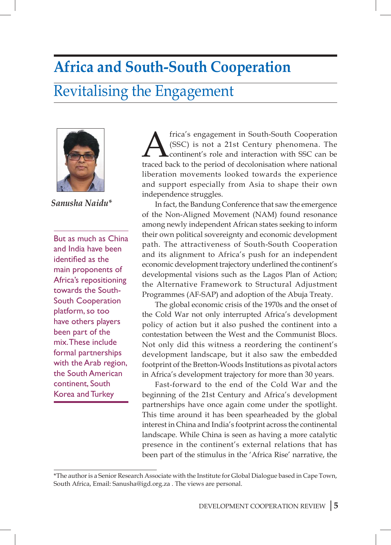## **Africa and South-South Cooperation**

## Revitalising the Engagement



*Sanusha Naidu\**

But as much as China and India have been identified as the main proponents of Africa's repositioning towards the South-South Cooperation platform, so too have others players been part of the mix. These include formal partnerships with the Arab region, the South American continent, South Korea and Turkey

frica's engagement in South-South Cooperation<br>(SSC) is not a 21st Century phenomena. The<br>traced back to the period of decolonisation where national (SSC) is not a 21st Century phenomena. The continent's role and interaction with SSC can be traced back to the period of decolonisation where national liberation movements looked towards the experience and support especially from Asia to shape their own independence struggles.

In fact, the Bandung Conference that saw the emergence of the Non-Aligned Movement (NAM) found resonance among newly independent African states seeking to inform their own political sovereignty and economic development path. The attractiveness of South-South Cooperation and its alignment to Africa's push for an independent economic development trajectory underlined the continent's developmental visions such as the Lagos Plan of Action; the Alternative Framework to Structural Adjustment Programmes (AF-SAP) and adoption of the Abuja Treaty.

The global economic crisis of the 1970s and the onset of the Cold War not only interrupted Africa's development policy of action but it also pushed the continent into a contestation between the West and the Communist Blocs. Not only did this witness a reordering the continent's development landscape, but it also saw the embedded footprint of the Bretton-Woods Institutions as pivotal actors in Africa's development trajectory for more than 30 years.

Fast-forward to the end of the Cold War and the beginning of the 21st Century and Africa's development partnerships have once again come under the spotlight. This time around it has been spearheaded by the global interest in China and India's footprint across the continental landscape. While China is seen as having a more catalytic presence in the continent's external relations that has been part of the stimulus in the 'Africa Rise' narrative, the

\*The author is a Senior Research Associate with the Institute for Global Dialogue based in Cape Town, South Africa, Email: Sanusha@igd.org.za . The views are personal.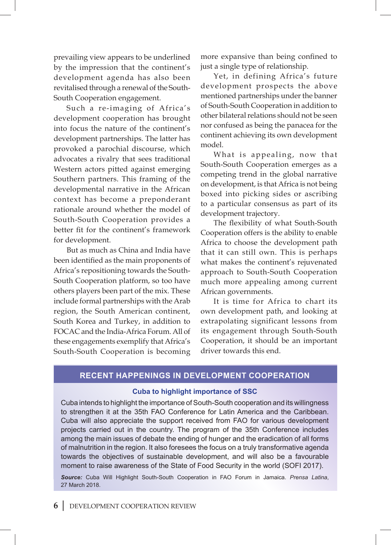prevailing view appears to be underlined by the impression that the continent's development agenda has also been revitalised through a renewal of the South-South Cooperation engagement.

Such a re-imaging of Africa's development cooperation has brought into focus the nature of the continent's development partnerships. The latter has provoked a parochial discourse, which advocates a rivalry that sees traditional Western actors pitted against emerging Southern partners. This framing of the developmental narrative in the African context has become a preponderant rationale around whether the model of South-South Cooperation provides a better fit for the continent's framework for development.

But as much as China and India have been identified as the main proponents of Africa's repositioning towards the South-South Cooperation platform, so too have others players been part of the mix. These include formal partnerships with the Arab region, the South American continent, South Korea and Turkey, in addition to FOCAC and the India-Africa Forum. All of these engagements exemplify that Africa's South-South Cooperation is becoming more expansive than being confined to just a single type of relationship.

Yet, in defining Africa's future development prospects the above mentioned partnerships under the banner of South-South Cooperation in addition to other bilateral relations should not be seen nor confused as being the panacea for the continent achieving its own development model.

What is appealing, now that South-South Cooperation emerges as a competing trend in the global narrative on development, is that Africa is not being boxed into picking sides or ascribing to a particular consensus as part of its development trajectory.

The flexibility of what South-South Cooperation offers is the ability to enable Africa to choose the development path that it can still own. This is perhaps what makes the continent's rejuvenated approach to South-South Cooperation much more appealing among current African governments.

It is time for Africa to chart its own development path, and looking at extrapolating significant lessons from its engagement through South-South Cooperation, it should be an important driver towards this end.

#### **Recent Happenings in development cooperation**

#### **Cuba to highlight importance of SSC**

Cuba intends to highlight the importance of South-South cooperation and its willingness to strengthen it at the 35th FAO Conference for Latin America and the Caribbean. Cuba will also appreciate the support received from FAO for various development projects carried out in the country. The program of the 35th Conference includes among the main issues of debate the ending of hunger and the eradication of all forms of malnutrition in the region. It also foresees the focus on a truly transformative agenda towards the objectives of sustainable development, and will also be a favourable moment to raise awareness of the State of Food Security in the world (SOFI 2017).

*Source:* Cuba Will Highlight South-South Cooperation in FAO Forum in Jamaica. *Prensa Latina*, 27 March 2018.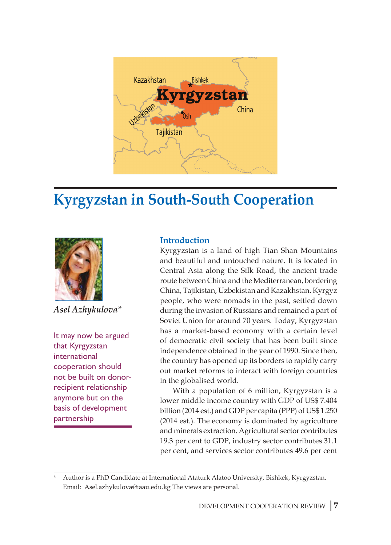

## **Kyrgyzstan in South-South Cooperation**



*Asel Azhykulova\**

It may now be argued that Kyrgyzstan international cooperation should not be built on donorrecipient relationship anymore but on the basis of development partnership

### **Introduction**

Kyrgyzstan is a land of high Tian Shan Mountains and beautiful and untouched nature. It is located in Central Asia along the Silk Road, the ancient trade route between China and the Mediterranean, bordering China, Tajikistan, Uzbekistan and Kazakhstan. Kyrgyz people, who were nomads in the past, settled down during the invasion of Russians and remained a part of Soviet Union for around 70 years. Today, Kyrgyzstan has a market-based economy with a certain level of democratic civil society that has been built since independence obtained in the year of 1990. Since then, the country has opened up its borders to rapidly carry out market reforms to interact with foreign countries in the globalised world.

With a population of 6 million, Kyrgyzstan is a lower middle income country with GDP of US\$ 7.404 billion (2014 est.) and GDP per capita (PPP) of US\$ 1.250 (2014 est.). The economy is dominated by agriculture and minerals extraction. Agricultural sector contributes 19.3 per cent to GDP, industry sector contributes 31.1 per cent, and services sector contributes 49.6 per cent

<sup>\*</sup> Author is a PhD Candidate at International Ataturk Alatoo University, Bishkek, Kyrgyzstan. Email: Asel.azhykulova@iaau.edu.kg The views are personal.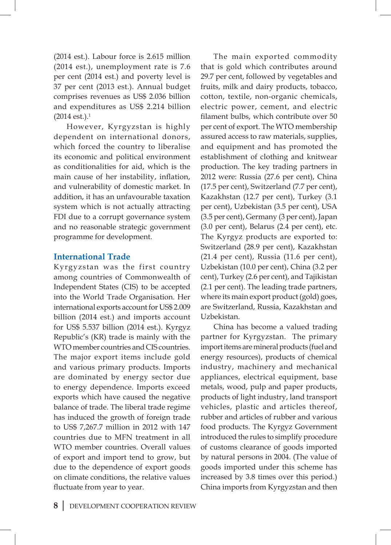(2014 est.). Labour force is 2.615 million (2014 est.), unemployment rate is 7.6 per cent (2014 est.) and poverty level is 37 per cent (2013 est.). Annual budget comprises revenues as US\$ 2.036 billion and expenditures as US\$ 2.214 billion  $(2014 \text{ est.})$ <sup>1</sup>

However, Kyrgyzstan is highly dependent on international donors, which forced the country to liberalise its economic and political environment as conditionalities for aid, which is the main cause of her instability, inflation, and vulnerability of domestic market. In addition, it has an unfavourable taxation system which is not actually attracting FDI due to a corrupt governance system and no reasonable strategic government programme for development.

### **International Trade**

Kyrgyzstan was the first country among countries of Commonwealth of Independent States (CIS) to be accepted into the World Trade Organisation. Her international exports account for US\$ 2.009 billion (2014 est.) and imports account for US\$ 5.537 billion (2014 est.). Kyrgyz Republic's (KR) trade is mainly with the WTO member countries and CIS countries. The major export items include gold and various primary products. Imports are dominated by energy sector due to energy dependence. Imports exceed exports which have caused the negative balance of trade. The liberal trade regime has induced the growth of foreign trade to US\$ 7,267.7 million in 2012 with 147 countries due to MFN treatment in all WTO member countries. Overall values of export and import tend to grow, but due to the dependence of export goods on climate conditions, the relative values fluctuate from year to year.

The main exported commodity that is gold which contributes around 29.7 per cent, followed by vegetables and fruits, milk and dairy products, tobacco, cotton, textile, non-organic chemicals, electric power, cement, and electric filament bulbs, which contribute over 50 per cent of export. The WTO membership assured access to raw materials, supplies, and equipment and has promoted the establishment of clothing and knitwear production. The key trading partners in 2012 were: Russia (27.6 per cent), China (17.5 per cent), Switzerland (7.7 per cent), Kazakhstan (12.7 per cent), Turkey (3.1 per cent), Uzbekistan (3.5 per cent), USA (3.5 per cent), Germany (3 per cent), Japan (3.0 per cent), Belarus (2.4 per cent), etc. The Kyrgyz products are exported to: Switzerland (28.9 per cent), Kazakhstan (21.4 per cent), Russia (11.6 per cent), Uzbekistan (10.0 per cent), China (3.2 per cent), Turkey (2.6 per cent), and Tajikistan (2.1 per cent). The leading trade partners, where its main export product (gold) goes, are Switzerland, Russia, Kazakhstan and Uzbekistan.

China has become a valued trading partner for Kyrgyzstan. The primary import items are mineral products (fuel and energy resources), products of chemical industry, machinery and mechanical appliances, electrical equipment, base metals, wood, pulp and paper products, products of light industry, land transport vehicles, plastic and articles thereof, rubber and articles of rubber and various food products. The Kyrgyz Government introduced the rules to simplify procedure of customs clearance of goods imported by natural persons in 2004. (The value of goods imported under this scheme has increased by 3.8 times over this period.) China imports from Kyrgyzstan and then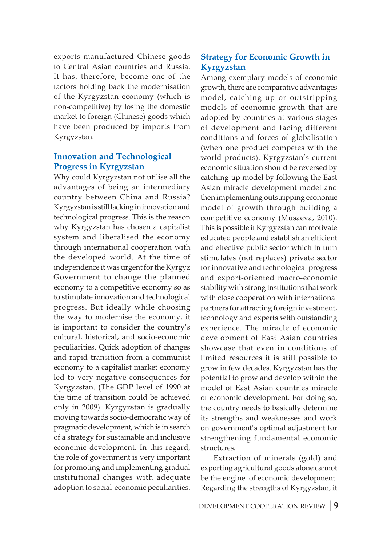exports manufactured Chinese goods to Central Asian countries and Russia. It has, therefore, become one of the factors holding back the modernisation of the Kyrgyzstan economy (which is non-competitive) by losing the domestic market to foreign (Chinese) goods which have been produced by imports from Kyrgyzstan.

### **Innovation and Technological Progress in Kyrgyzstan**

Why could Kyrgyzstan not utilise all the advantages of being an intermediary country between China and Russia? Kyrgyzstan is still lacking in innovation and technological progress. This is the reason why Kyrgyzstan has chosen a capitalist system and liberalised the economy through international cooperation with the developed world. At the time of independence it was urgent for the Kyrgyz Government to change the planned economy to a competitive economy so as to stimulate innovation and technological progress. But ideally while choosing the way to modernise the economy, it is important to consider the country's cultural, historical, and socio-economic peculiarities. Quick adoption of changes and rapid transition from a communist economy to a capitalist market economy led to very negative consequences for Kyrgyzstan. (The GDP level of 1990 at the time of transition could be achieved only in 2009). Kyrgyzstan is gradually moving towards socio-democratic way of pragmatic development, which is in search of a strategy for sustainable and inclusive economic development. In this regard, the role of government is very important for promoting and implementing gradual institutional changes with adequate adoption to social-economic peculiarities.

### **Strategy for Economic Growth in Kyrgyzstan**

Among exemplary models of economic growth, there are comparative advantages model, catching-up or outstripping models of economic growth that are adopted by countries at various stages of development and facing different conditions and forces of globalisation (when one product competes with the world products). Kyrgyzstan's current economic situation should be reversed by catching-up model by following the East Asian miracle development model and then implementing outstripping economic model of growth through building a competitive economy (Musaeva, 2010). This is possible if Kyrgyzstan can motivate educated people and establish an efficient and effective public sector which in turn stimulates (not replaces) private sector for innovative and technological progress and export-oriented macro-economic stability with strong institutions that work with close cooperation with international partners for attracting foreign investment, technology and experts with outstanding experience. The miracle of economic development of East Asian countries showcase that even in conditions of limited resources it is still possible to grow in few decades. Kyrgyzstan has the potential to grow and develop within the model of East Asian countries miracle of economic development. For doing so, the country needs to basically determine its strengths and weaknesses and work on government's optimal adjustment for strengthening fundamental economic structures.

Extraction of minerals (gold) and exporting agricultural goods alone cannot be the engine of economic development. Regarding the strengths of Kyrgyzstan, it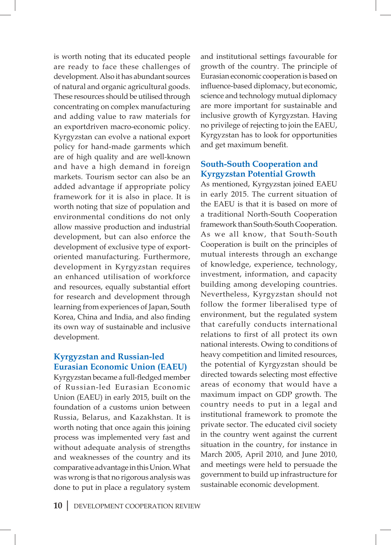is worth noting that its educated people are ready to face these challenges of development. Also it has abundant sources of natural and organic agricultural goods. These resources should be utilised through concentrating on complex manufacturing and adding value to raw materials for an exportdriven macro-economic policy. Kyrgyzstan can evolve a national export policy for hand-made garments which are of high quality and are well-known and have a high demand in foreign markets. Tourism sector can also be an added advantage if appropriate policy framework for it is also in place. It is worth noting that size of population and environmental conditions do not only allow massive production and industrial development, but can also enforce the development of exclusive type of exportoriented manufacturing. Furthermore, development in Kyrgyzstan requires an enhanced utilisation of workforce and resources, equally substantial effort for research and development through learning from experiences of Japan, South Korea, China and India, and also finding its own way of sustainable and inclusive development.

### **Kyrgyzstan and Russian-led Eurasian Economic Union (EAEU)**

Kyrgyzstan became a full-fledged member of Russian-led Eurasian Economic Union (EAEU) in early 2015, built on the foundation of a customs union between Russia, Belarus, and Kazakhstan. It is worth noting that once again this joining process was implemented very fast and without adequate analysis of strengths and weaknesses of the country and its comparative advantage in this Union. What was wrong is that no rigorous analysis was done to put in place a regulatory system and institutional settings favourable for growth of the country. The principle of Eurasian economic cooperation is based on influence-based diplomacy, but economic, science and technology mutual diplomacy are more important for sustainable and inclusive growth of Kyrgyzstan. Having no privilege of rejecting to join the EAEU, Kyrgyzstan has to look for opportunities and get maximum benefit.

### **South-South Cooperation and Kyrgyzstan Potential Growth**

As mentioned, Kyrgyzstan joined EAEU in early 2015. The current situation of the EAEU is that it is based on more of a traditional North-South Cooperation framework than South-South Cooperation. As we all know, that South-South Cooperation is built on the principles of mutual interests through an exchange of knowledge, experience, technology, investment, information, and capacity building among developing countries. Nevertheless, Kyrgyzstan should not follow the former liberalised type of environment, but the regulated system that carefully conducts international relations to first of all protect its own national interests. Owing to conditions of heavy competition and limited resources, the potential of Kyrgyzstan should be directed towards selecting most effective areas of economy that would have a maximum impact on GDP growth. The country needs to put in a legal and institutional framework to promote the private sector. The educated civil society in the country went against the current situation in the country, for instance in March 2005, April 2010, and June 2010, and meetings were held to persuade the government to build up infrastructure for sustainable economic development.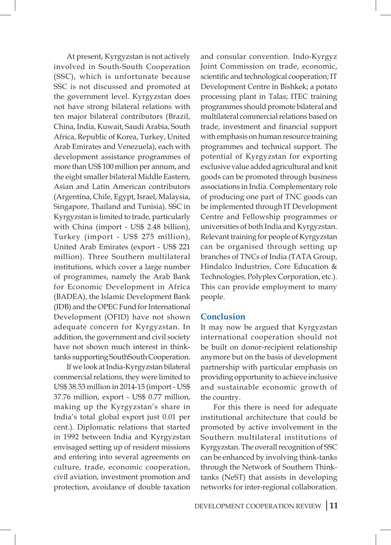At present, Kyrgyzstan is not actively involved in South-South Cooperation (SSC), which is unfortunate because SSC is not discussed and promoted at the government level. Kyrgyzstan does not have strong bilateral relations with ten major bilateral contributors (Brazil, China, India, Kuwait, Saudi Arabia, South Africa, Republic of Korea, Turkey, United Arab Emirates and Venezuela), each with development assistance programmes of more than US\$ 100 million per annum, and the eight smaller bilateral Middle Eastern, Asian and Latin American contributors (Argentina, Chile, Egypt, Israel, Malaysia, Singapore, Thailand and Tunisia). SSC in Kyrgyzstan is limited to trade, particularly with China (import - US\$ 2.48 billion), Turkey (import - US\$ 275 million), United Arab Emirates (export - US\$ 221 million). Three Southern multilateral institutions, which cover a large number of programmes, namely the Arab Bank for Economic Development in Africa (BADEA), the Islamic Development Bank (IDB) and the OPEC Fund for International Development (OFID) have not shown adequate concern for Kyrgyzstan. In addition, the government and civil society have not shown much interest in thinktanks supporting SouthSouth Cooperation.

If we look at India-Kyrgyzstan bilateral commercial relations, they were limited to US\$ 38.53 million in 2014-15 (import - US\$ 37.76 million, export - US\$ 0.77 million, making up the Kyrgyzstan's share in India's total global export just 0.01 per cent.). Diplomatic relations that started in 1992 between India and Kyrgyzstan envisaged setting up of resident missions and entering into several agreements on culture, trade, economic cooperation, civil aviation, investment promotion and protection, avoidance of double taxation

and consular convention. Indo-Kyrgyz Joint Commission on trade, economic, scientific and technological cooperation; IT Development Centre in Bishkek; a potato processing plant in Talas; ITEC training programmes should promote bilateral and multilateral commercial relations based on trade, investment and financial support with emphasis on human resource training programmes and technical support. The potential of Kyrgyzstan for exporting exclusive value added agricultural and knit goods can be promoted through business associations in India. Complementary role of producing one part of TNC goods can be implemented through IT Development Centre and Fellowship programmes or universities of both India and Kyrgyzstan. Relevant training for people of Kyrgyzstan can be organised through setting up branches of TNCs of India (TATA Group, Hindalco Industries, Core Education & Technologies, Polyplex Corporation, etc.). This can provide employment to many people.

#### **Conclusion**

It may now be argued that Kyrgyzstan international cooperation should not be built on donor-recipient relationship anymore but on the basis of development partnership with particular emphasis on providing opportunity to achieve inclusive and sustainable economic growth of the country.

For this there is need for adequate institutional architecture that could be promoted by active involvement in the Southern multilateral institutions of Kyrgyzstan. The overall recognition of SSC can be enhanced by involving think-tanks through the Network of Southern Thinktanks (NeST) that assists in developing networks for inter-regional collaboration.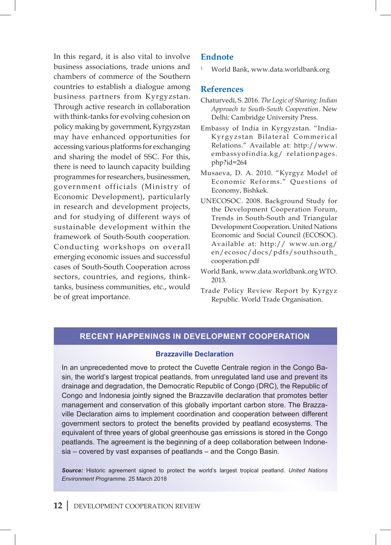In this regard, it is also vital to involve business associations, trade unions and chambers of commerce of the Southern countries to establish a dialogue among business partners from Kyrgyzstan. Through active research in collaboration with think-tanks for evolving cohesion on policy making by government, Kyrgyzstan may have enhanced opportunities for accessing various platforms for exchanging and sharing the model of SSC. For this, there is need to launch capacity building programmes for researchers, businessmen, government officials (Ministry of Economic Development), particularly in research and development projects, and for studying of different ways of sustainable development within the framework of South-South cooperation. Conducting workshops on overall emerging economic issues and successful cases of South-South Cooperation across sectors, countries, and regions, thinktanks, business communities, etc., would be of great importance.

### **Endnote**

1. World Bank, www.data.worldbank.org

#### **References**

- Chaturvedi, S. 2016. *The Logic of Sharing: Indian Approach to South-South Cooperation*. New Delhi: Cambridge University Press.
- Embassy of India in Kyrgyzstan. "India-Kyrgyzstan Bilateral Commerical Relations." Available at: http://www. embassyofindia.kg/ relationpages. php?id=264
- Musaeva, D. A. 2010. "Kyrgyz Model of Economic Reforms." Questions of Economy, Bishkek.
- UNECOSOC. 2008. Background Study for the Development Cooperation Forum, Trends in South-South and Triangular Development Cooperation. United Nations Economic and Social Council (ECOSOC). Available at: http:// www.un.org/ en/ecosoc/docs/pdfs/southsouth\_ cooperation.pdf
- World Bank, www.data.worldbank.org WTO. 2013.
- Trade Policy Review Report by Kyrgyz Republic. World Trade Organisation.

### **Recent Happenings in development cooperation**

#### **Brazzaville Declaration**

In an unprecedented move to protect the Cuvette Centrale region in the Congo Basin, the world's largest tropical peatlands, from unregulated land use and prevent its drainage and degradation, the Democratic Republic of Congo (DRC), the Republic of Congo and Indonesia jointly signed the Brazzaville declaration that promotes better management and conservation of this globally important carbon store. The Brazzaville Declaration aims to implement coordination and cooperation between different government sectors to protect the benefits provided by peatland ecosystems. The equivalent of three years of global greenhouse gas emissions is stored in the Congo peatlands. The agreement is the beginning of a deep collaboration between Indonesia – covered by vast expanses of peatlands – and the Congo Basin.

*Source:* Historic agreement signed to protect the world's largest tropical peatland. *United Nations Environment Programme*. 25 March 2018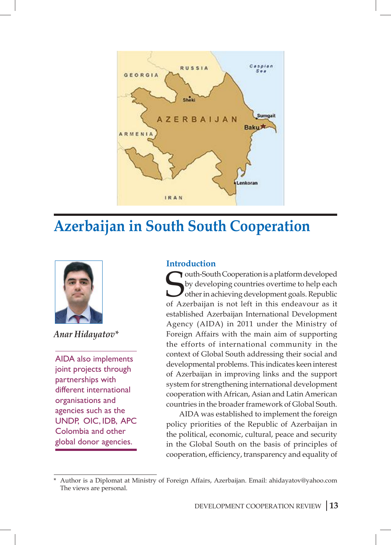

## **Azerbaijan in South South Cooperation**



*Anar Hidayatov\**

AIDA also implements joint projects through partnerships with different international organisations and agencies such as the UNDP, OIC, IDB, APC Colombia and other global donor agencies.

### **Introduction**

**South-South Cooperation is a platform developed**<br>by developing countries overtime to help each<br>other in achieving development goals. Republic<br>of Azerbaijan is not left in this endeavour as it outh-South Cooperation is a platform developed by developing countries overtime to help each other in achieving development goals. Republic established Azerbaijan International Development Agency (AIDA) in 2011 under the Ministry of Foreign Affairs with the main aim of supporting the efforts of international community in the context of Global South addressing their social and developmental problems. This indicates keen interest of Azerbaijan in improving links and the support system for strengthening international development cooperation with African, Asian and Latin American countries in the broader framework of Global South.

AIDA was established to implement the foreign policy priorities of the Republic of Azerbaijan in the political, economic, cultural, peace and security in the Global South on the basis of principles of cooperation, efficiency, transparency and equality of

<sup>\*</sup> Author is a Diplomat at Ministry of Foreign Affairs, Azerbaijan. Email: ahidayatov@yahoo.com The views are personal.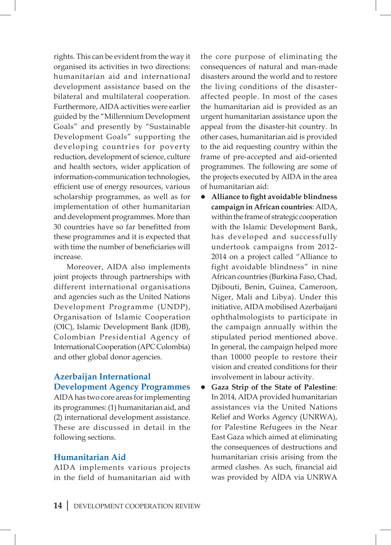rights. This can be evident from the way it organised its activities in two directions: humanitarian aid and international development assistance based on the bilateral and multilateral cooperation. Furthermore, AIDA activities were earlier guided by the "Millennium Development Goals" and presently by "Sustainable Development Goals" supporting the developing countries for poverty reduction, development of science, culture and health sectors, wider application of information-communication technologies, efficient use of energy resources, various scholarship programmes, as well as for implementation of other humanitarian and development programmes. More than 30 countries have so far benefitted from these programmes and it is expected that with time the number of beneficiaries will increase.

Moreover, AIDA also implements joint projects through partnerships with different international organisations and agencies such as the United Nations Development Programme (UNDP), Organisation of Islamic Cooperation (OIC), Islamic Development Bank (IDB), Colombian Presidential Agency of International Cooperation (APC Colombia) and other global donor agencies.

### **Azerbaijan International Development Agency Programmes**

AIDA has two core areas for implementing its programmes: (1) humanitarian aid, and (2) international development assistance. These are discussed in detail in the following sections.

### **Humanitarian Aid**

AIDA implements various projects in the field of humanitarian aid with the core purpose of eliminating the consequences of natural and man-made disasters around the world and to restore the living conditions of the disasteraffected people. In most of the cases the humanitarian aid is provided as an urgent humanitarian assistance upon the appeal from the disaster-hit country. In other cases, humanitarian aid is provided to the aid requesting country within the frame of pre-accepted and aid-oriented programmes. The following are some of the projects executed by AIDA in the area of humanitarian aid:

- l **Alliance to fight avoidable blindness campaign in African countries**: AIDA, within the frame of strategic cooperation with the Islamic Development Bank, has developed and successfully undertook campaigns from 2012- 2014 on a project called "Alliance to fight avoidable blindness" in nine African countries (Burkina Faso, Chad, Djibouti, Benin, Guinea, Cameroon, Niger, Mali and Libya). Under this initiative, AIDA mobilised Azerbaijani ophthalmologists to participate in the campaign annually within the stipulated period mentioned above. In general, the campaign helped more than 10000 people to restore their vision and created conditions for their involvement in labour activity.
- Gaza Strip of the State of Palestine: In 2014, AIDA provided humanitarian assistances via the United Nations Relief and Works Agency (UNRWA), for Palestine Refugees in the Near East Gaza which aimed at eliminating the consequences of destructions and humanitarian crisis arising from the armed clashes. As such, financial aid was provided by AİDA via UNRWA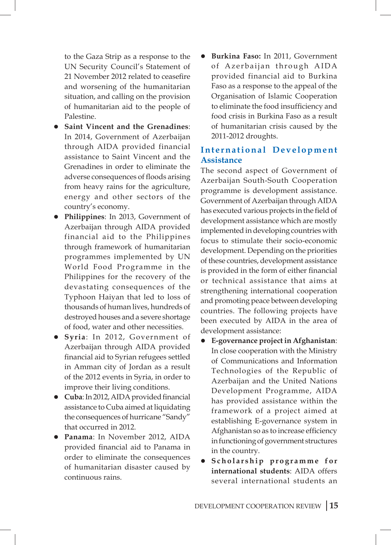to the Gaza Strip as a response to the UN Security Council's Statement of 21 November 2012 related to ceasefire and worsening of the humanitarian situation, and calling on the provision of humanitarian aid to the people of Palestine.

- $\bullet$  Saint Vincent and the Grenadines: In 2014, Government of Azerbaijan through AIDA provided financial assistance to Saint Vincent and the Grenadines in order to eliminate the adverse consequences of floods arising from heavy rains for the agriculture, energy and other sectors of the country's economy.
- **Philippines**: In 2013, Government of Azerbaijan through AIDA provided financial aid to the Philippines through framework of humanitarian programmes implemented by UN World Food Programme in the Philippines for the recovery of the devastating consequences of the Typhoon Haiyan that led to loss of thousands of human lives, hundreds of destroyed houses and a severe shortage of food, water and other necessities.
- **Syria**: In 2012, Government of Azerbaijan through AIDA provided financial aid to Syrian refugees settled in Amman city of Jordan as a result of the 2012 events in Syria, in order to improve their living conditions.
- **Cuba**: In 2012, AIDA provided financial assistance to Cuba aimed at liquidating the consequences of hurricane "Sandy" that occurred in 2012.
- **Panama**: In November 2012, AIDA provided financial aid to Panama in order to eliminate the consequences of humanitarian disaster caused by continuous rains.

Burkina Faso: In 2011, Government of Azerbaijan through AIDA provided financial aid to Burkina Faso as a response to the appeal of the Organisation of Islamic Cooperation to eliminate the food insufficiency and food crisis in Burkina Faso as a result of humanitarian crisis caused by the 2011-2012 droughts.

### **I n t e r n a t i o n a l D e v e l o p m e n t Assistance**

The second aspect of Government of Azerbaijan South-South Cooperation programme is development assistance. Government of Azerbaijan through AIDA has executed various projects in the field of development assistance which are mostly implemented in developing countries with focus to stimulate their socio-economic development. Depending on the priorities of these countries, development assistance is provided in the form of either financial or technical assistance that aims at strengthening international cooperation and promoting peace between developing countries. The following projects have been executed by AIDA in the area of development assistance:

- l **E-governance project in Afghanistan**: In close cooperation with the Ministry of Communications and Information Technologies of the Republic of Azerbaijan and the United Nations Development Programme, AIDA has provided assistance within the framework of a project aimed at establishing E-governance system in Afghanistan so as to increase efficiency in functioning of government structures in the country.
- $\bullet$  Scholarship programme for **international students**: AIDA offers several international students an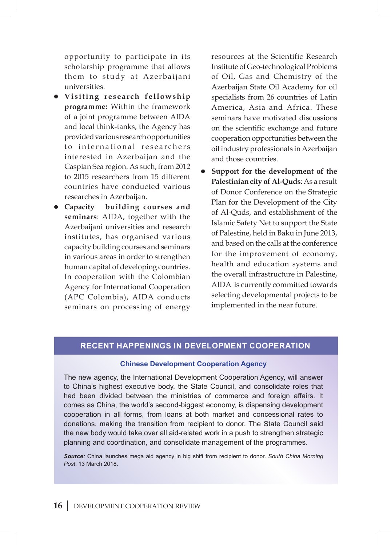opportunity to participate in its scholarship programme that allows them to study at Azerbaijani universities.

- $\bullet$  Visiting research fellowship **programme:** Within the framework of a joint programme between AIDA and local think-tanks, the Agency has provided various research opportunities to international researchers interested in Azerbaijan and the Caspian Sea region. As such, from 2012 to 2015 researchers from 15 different countries have conducted various researches in Azerbaijan.
- **Capacity building courses and seminars**: AIDA, together with the Azerbaijani universities and research institutes, has organised various capacity building courses and seminars in various areas in order to strengthen human capital of developing countries. In cooperation with the Colombian Agency for International Cooperation (APC Colombia), AIDA conducts seminars on processing of energy

resources at the Scientific Research Institute of Geo-technological Problems of Oil, Gas and Chemistry of the Azerbaijan State Oil Academy for oil specialists from 26 countries of Latin America, Asia and Africa. These seminars have motivated discussions on the scientific exchange and future cooperation opportunities between the oil industry professionals in Azerbaijan and those countries.

 $\bullet$  Support for the development of the **Palestinian city of Al-Quds**: As a result of Donor Conference on the Strategic Plan for the Development of the City of Al-Quds, and establishment of the Islamic Safety Net to support the State of Palestine, held in Baku in June 2013, and based on the calls at the conference for the improvement of economy, health and education systems and the overall infrastructure in Palestine, AIDA is currently committed towards selecting developmental projects to be implemented in the near future.

#### **Recent Happenings in development cooperation**

#### **Chinese Development Cooperation Agency**

The new agency, the International Development Cooperation Agency, will answer to China's highest executive body, the State Council, and consolidate roles that had been divided between the ministries of commerce and foreign affairs. It comes as China, the world's second-biggest economy, is dispensing development cooperation in all forms, from loans at both market and concessional rates to donations, making the transition from recipient to donor. The State Council said the new body would take over all aid-related work in a push to strengthen strategic planning and coordination, and consolidate management of the programmes.

*Source:* China launches mega aid agency in big shift from recipient to donor. *South China Morning Post*. 13 March 2018.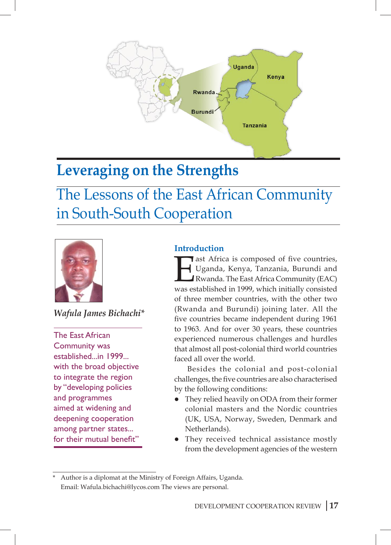

## **Leveraging on the Strengths**

The Lessons of the East African Community in South-South Cooperation



*Wafula James Bichachi\**

The East African Community was established...in 1999... with the broad objective to integrate the region by "developing policies and programmes aimed at widening and deepening cooperation among partner states... for their mutual benefit"

### **Introduction**

ast Africa is composed of five countries, Uganda, Kenya, Tanzania, Burundi and Rwanda. The East Africa Community (EAC) was established in 1999, which initially consisted of three member countries, with the other two (Rwanda and Burundi) joining later. All the five countries became independent during 1961 to 1963. And for over 30 years, these countries experienced numerous challenges and hurdles that almost all post-colonial third world countries faced all over the world.

Besides the colonial and post-colonial challenges, the five countries are also characterised by the following conditions:

- They relied heavily on ODA from their former colonial masters and the Nordic countries (UK, USA, Norway, Sweden, Denmark and Netherlands).
- They received technical assistance mostly from the development agencies of the western

Author is a diplomat at the Ministry of Foreign Affairs, Uganda. Email: Wafula.bichachi@lycos.com The views are personal.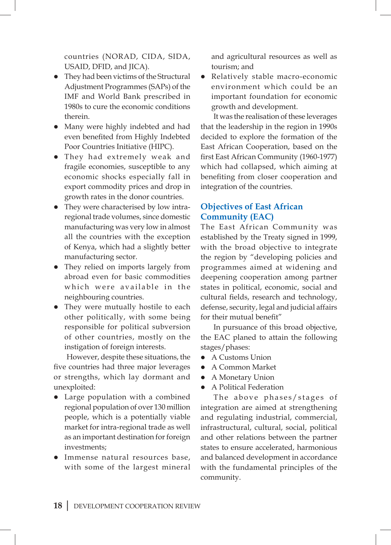countries (NORAD, CIDA, SIDA, USAID, DFID, and JICA).

- They had been victims of the Structural Adjustment Programmes (SAPs) of the IMF and World Bank prescribed in 1980s to cure the economic conditions therein.
- Many were highly indebted and had even benefited from Highly Indebted Poor Countries Initiative (HIPC).
- They had extremely weak and fragile economies, susceptible to any economic shocks especially fall in export commodity prices and drop in growth rates in the donor countries.
- They were characterised by low intraregional trade volumes, since domestic manufacturing was very low in almost all the countries with the exception of Kenya, which had a slightly better manufacturing sector.
- They relied on imports largely from abroad even for basic commodities which were available in the neighbouring countries.
- They were mutually hostile to each other politically, with some being responsible for political subversion of other countries, mostly on the instigation of foreign interests.

However, despite these situations, the five countries had three major leverages or strengths, which lay dormant and unexploited:

- Large population with a combined regional population of over 130 million people, which is a potentially viable market for intra-regional trade as well as an important destination for foreign investments;
- **·** Immense natural resources base, with some of the largest mineral

and agricultural resources as well as tourism; and

• Relatively stable macro-economic environment which could be an important foundation for economic growth and development.

It was the realisation of these leverages that the leadership in the region in 1990s decided to explore the formation of the East African Cooperation, based on the first East African Community (1960-1977) which had collapsed, which aiming at benefiting from closer cooperation and integration of the countries.

### **Objectives of East African Community (EAC)**

The East African Community was established by the Treaty signed in 1999, with the broad objective to integrate the region by "developing policies and programmes aimed at widening and deepening cooperation among partner states in political, economic, social and cultural fields, research and technology, defense, security, legal and judicial affairs for their mutual benefit"

In pursuance of this broad objective, the EAC planed to attain the following stages/phases:

- A Customs Union
- A Common Market
- A Monetary Union
- **•** A Political Federation

The above phases/stages of integration are aimed at strengthening and regulating industrial, commercial, infrastructural, cultural, social, political and other relations between the partner states to ensure accelerated, harmonious and balanced development in accordance with the fundamental principles of the community.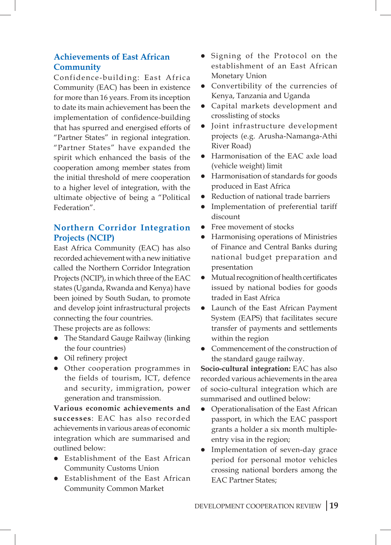### **Achievements of East African Community**

Confidence-building: East Africa Community (EAC) has been in existence for more than 16 years. From its inception to date its main achievement has been the implementation of confidence-building that has spurred and energised efforts of "Partner States" in regional integration. "Partner States" have expanded the spirit which enhanced the basis of the cooperation among member states from the initial threshold of mere cooperation to a higher level of integration, with the ultimate objective of being a "Political Federation".

### **Northern Corridor Integration Projects (NCIP)**

East Africa Community (EAC) has also recorded achievement with a new initiative called the Northern Corridor Integration Projects (NCIP), in which three of the EAC states (Uganda, Rwanda and Kenya) have been joined by South Sudan, to promote and develop joint infrastructural projects connecting the four countries.

These projects are as follows:

- The Standard Gauge Railway (linking the four countries)
- Oil refinery project
- Other cooperation programmes in the fields of tourism, ICT, defence and security, immigration, power generation and transmission.

**Various economic achievements and successes**: EAC has also recorded achievements in various areas of economic integration which are summarised and outlined below:

- **•** Establishment of the East African Community Customs Union
- **Establishment of the East African** Community Common Market
- Signing of the Protocol on the establishment of an East African Monetary Union
- Convertibility of the currencies of Kenya, Tanzania and Uganda
- Capital markets development and crosslisting of stocks
- $\bullet$  Joint infrastructure development projects (e.g. Arusha-Namanga-Athi River Road)
- Harmonisation of the EAC axle load (vehicle weight) limit
- **•** Harmonisation of standards for goods produced in East Africa
- Reduction of national trade barriers
- Implementation of preferential tariff discount
- Free movement of stocks
- Harmonising operations of Ministries of Finance and Central Banks during national budget preparation and presentation
- Mutual recognition of health certificates issued by national bodies for goods traded in East Africa
- Launch of the East African Payment System (EAPS) that facilitates secure transfer of payments and settlements within the region
- Commencement of the construction of the standard gauge railway.

**Socio-cultural integration:** EAC has also recorded various achievements in the area of socio-cultural integration which are summarised and outlined below:

- Operationalisation of the East African passport, in which the EAC passport grants a holder a six month multipleentry visa in the region;
- Implementation of seven-day grace period for personal motor vehicles crossing national borders among the EAC Partner States;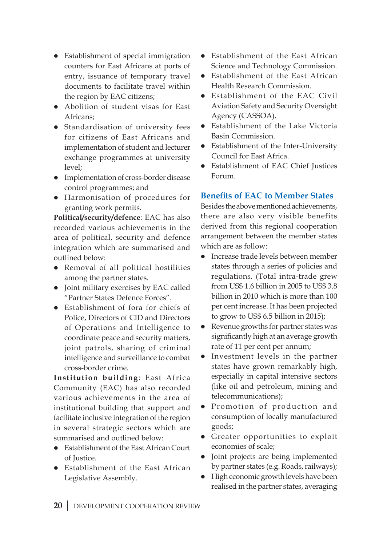- Establishment of special immigration counters for East Africans at ports of entry, issuance of temporary travel documents to facilitate travel within the region by EAC citizens;
- Abolition of student visas for East Africans;
- Standardisation of university fees for citizens of East Africans and implementation of student and lecturer exchange programmes at university level;
- **•** Implementation of cross-border disease control programmes; and
- **•** Harmonisation of procedures for granting work permits.

**Political/security/defence**: EAC has also recorded various achievements in the area of political, security and defence integration which are summarised and outlined below:

- Removal of all political hostilities among the partner states.
- Joint military exercises by EAC called "Partner States Defence Forces".
- Establishment of fora for chiefs of Police, Directors of CID and Directors of Operations and Intelligence to coordinate peace and security matters, joint patrols, sharing of criminal intelligence and surveillance to combat cross-border crime.

**Institution building**: East Africa Community (EAC) has also recorded various achievements in the area of institutional building that support and facilitate inclusive integration of the region in several strategic sectors which are summarised and outlined below:

- **•** Establishment of the East African Court of Justice.
- Establishment of the East African Legislative Assembly.
- **•** Establishment of the East African Science and Technology Commission.
- **•** Establishment of the East African Health Research Commission.
- **•** Establishment of the EAC Civil Aviation Safety and Security Oversight Agency (CASSOA).
- **•** Establishment of the Lake Victoria Basin Commission.
- Establishment of the Inter-University Council for East Africa.
- Establishment of EAC Chief Justices Forum.

### **Benefits of EAC to Member States**

Besides the above mentioned achievements, there are also very visible benefits derived from this regional cooperation arrangement between the member states which are as follow:

- **•** Increase trade levels between member states through a series of policies and regulations. (Total intra-trade grew from US\$ 1.6 billion in 2005 to US\$ 3.8 billion in 2010 which is more than 100 per cent increase. It has been projected to grow to US\$ 6.5 billion in 2015);
- l Revenue growths for partner states was significantly high at an average growth rate of 11 per cent per annum;
- Investment levels in the partner states have grown remarkably high, especially in capital intensive sectors (like oil and petroleum, mining and telecommunications);
- Promotion of production and consumption of locally manufactured goods;
- **•** Greater opportunities to exploit economies of scale;
- Joint projects are being implemented by partner states (e.g. Roads, railways);
- **•** High economic growth levels have been realised in the partner states, averaging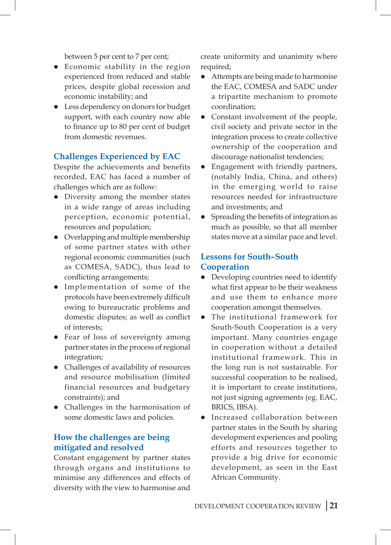between 5 per cent to 7 per cent;

- Economic stability in the region experienced from reduced and stable prices, despite global recession and economic instability; and
- Less dependency on donors for budget support, with each country now able to finance up to 80 per cent of budget from domestic revenues.

### **Challenges Experienced by EAC**

Despite the achievements and benefits recorded, EAC has faced a number of challenges which are as follow:

- Diversity among the member states in a wide range of areas including perception, economic potential, resources and population;
- $\bullet$  Overlapping and multiple membership of some partner states with other regional economic communities (such as COMESA, SADC), thus lead to conflicting arrangements;
- **•** Implementation of some of the protocols have been extremely difficult owing to bureaucratic problems and domestic disputes; as well as conflict of interests;
- Fear of loss of sovereignty among partner states in the process of regional integration;
- Challenges of availability of resources and resource mobilisation (limited financial resources and budgetary constraints); and
- Challenges in the harmonisation of some domestic laws and policies.

### **How the challenges are being mitigated and resolved**

Constant engagement by partner states through organs and institutions to minimise any differences and effects of diversity with the view to harmonise and create uniformity and unanimity where required;

- Attempts are being made to harmonise the EAC, COMESA and SADC under a tripartite mechanism to promote coordination;
- Constant involvement of the people, civil society and private sector in the integration process to create collective ownership of the cooperation and discourage nationalist tendencies;
- Engagement with friendly partners, (notably India, China, and others) in the emerging world to raise resources needed for infrastructure and investments; and
- Spreading the benefits of integration as much as possible, so that all member states move at a similar pace and level.

### **Lessons for South–South Cooperation**

- Developing countries need to identify what first appear to be their weakness and use them to enhance more cooperation amongst themselves.
- The institutional framework for South-South Cooperation is a very important. Many countries engage in cooperation without a detailed institutional framework. This in the long run is not sustainable. For successful cooperation to be realised, it is important to create institutions, not just signing agreements (eg. EAC, BRICS, IBSA).
- Increased collaboration between partner states in the South by sharing development experiences and pooling efforts and resources together to provide a big drive for economic development, as seen in the East African Community.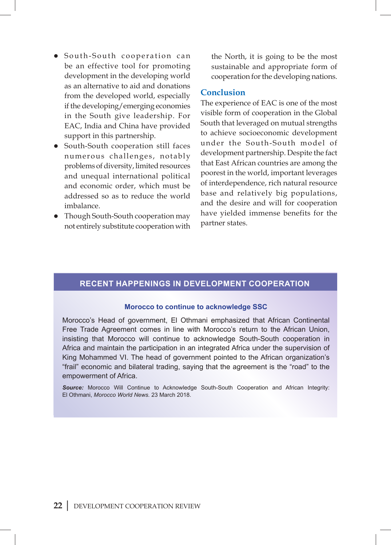- South-South cooperation can be an effective tool for promoting development in the developing world as an alternative to aid and donations from the developed world, especially if the developing/emerging economies in the South give leadership. For EAC, India and China have provided support in this partnership.
- South-South cooperation still faces numerous challenges, notably problems of diversity, limited resources and unequal international political and economic order, which must be addressed so as to reduce the world imbalance.
- Though South-South cooperation may not entirely substitute cooperation with

the North, it is going to be the most sustainable and appropriate form of cooperation for the developing nations.

### **Conclusion**

The experience of EAC is one of the most visible form of cooperation in the Global South that leveraged on mutual strengths to achieve socioeconomic development under the South-South model of development partnership. Despite the fact that East African countries are among the poorest in the world, important leverages of interdependence, rich natural resource base and relatively big populations, and the desire and will for cooperation have yielded immense benefits for the partner states.

### **Recent Happenings in development cooperation**

#### **Morocco to continue to acknowledge SSC**

Morocco's Head of government, El Othmani emphasized that African Continental Free Trade Agreement comes in line with Morocco's return to the African Union, insisting that Morocco will continue to acknowledge South-South cooperation in Africa and maintain the participation in an integrated Africa under the supervision of King Mohammed VI. The head of government pointed to the African organization's "frail" economic and bilateral trading, saying that the agreement is the "road" to the empowerment of Africa.

*Source:* Morocco Will Continue to Acknowledge South-South Cooperation and African Integrity: El Othmani, *Morocco World News.* 23 March 2018.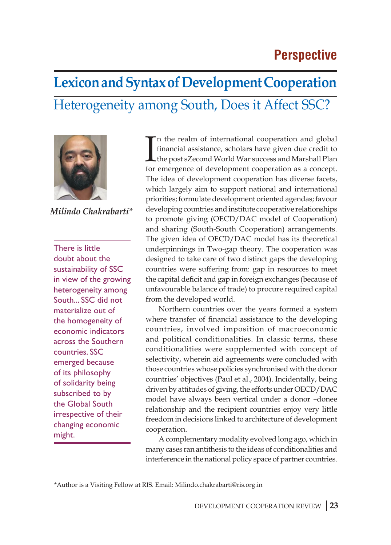## **Lexicon and Syntax of Development Cooperation** Heterogeneity among South, Does it Affect SSC?



*Milindo Chakrabarti\**

There is little doubt about the sustainability of SSC in view of the growing heterogeneity among South... SSC did not materialize out of the homogeneity of economic indicators across the Southern countries. SSC emerged because of its philosophy of solidarity being subscribed to by the Global South irrespective of their changing economic might.

In the realm of international cooperation and global financial assistance, scholars have given due credit to the post sZecond World War success and Marshall Plan for emergence of development cooperation as a concept. n the realm of international cooperation and global financial assistance, scholars have given due credit to the post sZecond World War success and Marshall Plan The idea of development cooperation has diverse facets, which largely aim to support national and international priorities; formulate development oriented agendas; favour developing countries and institute cooperative relationships to promote giving (OECD/DAC model of Cooperation) and sharing (South-South Cooperation) arrangements. The given idea of OECD/DAC model has its theoretical underpinnings in Two-gap theory. The cooperation was designed to take care of two distinct gaps the developing countries were suffering from: gap in resources to meet the capital deficit and gap in foreign exchanges (because of unfavourable balance of trade) to procure required capital from the developed world.

Northern countries over the years formed a system where transfer of financial assistance to the developing countries, involved imposition of macroeconomic and political conditionalities. In classic terms, these conditionalities were supplemented with concept of selectivity, wherein aid agreements were concluded with those countries whose policies synchronised with the donor countries' objectives (Paul et al., 2004). Incidentally, being driven by attitudes of giving, the efforts under OECD/DAC model have always been vertical under a donor –donee relationship and the recipient countries enjoy very little freedom in decisions linked to architecture of development cooperation.

A complementary modality evolved long ago, which in many cases ran antithesis to the ideas of conditionalities and interference in the national policy space of partner countries.

<sup>\*</sup>Author is a Visiting Fellow at RIS. Email: Milindo.chakrabarti@ris.org.in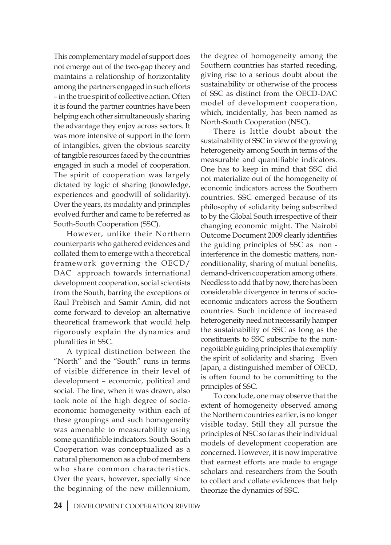This complementary model of support does not emerge out of the two-gap theory and maintains a relationship of horizontality among the partners engaged in such efforts – in the true spirit of collective action. Often it is found the partner countries have been helping each other simultaneously sharing the advantage they enjoy across sectors. It was more intensive of support in the form of intangibles, given the obvious scarcity of tangible resources faced by the countries engaged in such a model of cooperation. The spirit of cooperation was largely dictated by logic of sharing (knowledge, experiences and goodwill of solidarity). Over the years, its modality and principles evolved further and came to be referred as South-South Cooperation (SSC).

However, unlike their Northern counterparts who gathered evidences and collated them to emerge with a theoretical framework governing the OECD/ DAC approach towards international development cooperation, social scientists from the South, barring the exceptions of Raul Prebisch and Samir Amin, did not come forward to develop an alternative theoretical framework that would help rigorously explain the dynamics and pluralities in SSC.

A typical distinction between the "North" and the "South" runs in terms of visible difference in their level of development – economic, political and social. The line, when it was drawn, also took note of the high degree of socioeconomic homogeneity within each of these groupings and such homogeneity was amenable to measurability using some quantifiable indicators. South-South Cooperation was conceptualized as a natural phenomenon as a club of members who share common characteristics. Over the years, however, specially since the beginning of the new millennium,

the degree of homogeneity among the Southern countries has started receding, giving rise to a serious doubt about the sustainability or otherwise of the process of SSC as distinct from the OECD-DAC model of development cooperation, which, incidentally, has been named as North-South Cooperation (NSC).

There is little doubt about the sustainability of SSC in view of the growing heterogeneity among South in terms of the measurable and quantifiable indicators. One has to keep in mind that SSC did not materialize out of the homogeneity of economic indicators across the Southern countries. SSC emerged because of its philosophy of solidarity being subscribed to by the Global South irrespective of their changing economic might. The Nairobi Outcome Document 2009 clearly identifies the guiding principles of SSC as non interference in the domestic matters, nonconditionality, sharing of mutual benefits, demand-driven cooperation among others. Needless to add that by now, there has been considerable divergence in terms of socioeconomic indicators across the Southern countries. Such incidence of increased heterogeneity need not necessarily hamper the sustainability of SSC as long as the constituents to SSC subscribe to the nonnegotiable guiding principles that exemplify the spirit of solidarity and sharing. Even Japan, a distinguished member of OECD, is often found to be committing to the principles of SSC.

To conclude, one may observe that the extent of homogeneity observed among the Northern countries earlier, is no longer visible today. Still they all pursue the principles of NSC so far as their individual models of development cooperation are concerned. However, it is now imperative that earnest efforts are made to engage scholars and researchers from the South to collect and collate evidences that help theorize the dynamics of SSC.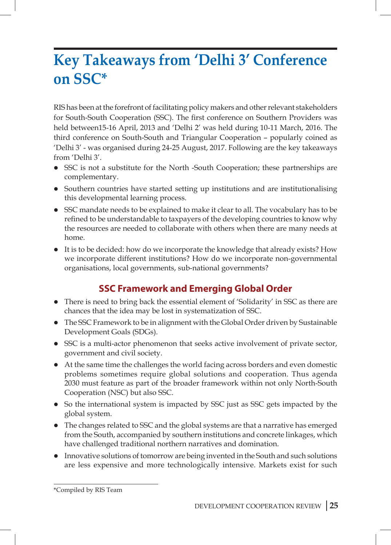## **Key Takeaways from 'Delhi 3' Conference on SSC\***

RIS has been at the forefront of facilitating policy makers and other relevant stakeholders for South-South Cooperation (SSC). The first conference on Southern Providers was held between15-16 April, 2013 and 'Delhi 2' was held during 10-11 March, 2016. The third conference on South-South and Triangular Cooperation – popularly coined as 'Delhi 3' - was organised during 24-25 August, 2017. Following are the key takeaways from 'Delhi 3'.

- SSC is not a substitute for the North -South Cooperation; these partnerships are complementary.
- Southern countries have started setting up institutions and are institutionalising this developmental learning process.
- SSC mandate needs to be explained to make it clear to all. The vocabulary has to be refined to be understandable to taxpayers of the developing countries to know why the resources are needed to collaborate with others when there are many needs at home.
- $\bullet$  It is to be decided: how do we incorporate the knowledge that already exists? How we incorporate different institutions? How do we incorporate non-governmental organisations, local governments, sub-national governments?

## **SSC Framework and Emerging Global Order**

- There is need to bring back the essential element of 'Solidarity' in SSC as there are chances that the idea may be lost in systematization of SSC.
- The SSC Framework to be in alignment with the Global Order driven by Sustainable Development Goals (SDGs).
- SSC is a multi-actor phenomenon that seeks active involvement of private sector, government and civil society.
- At the same time the challenges the world facing across borders and even domestic problems sometimes require global solutions and cooperation. Thus agenda 2030 must feature as part of the broader framework within not only North-South Cooperation (NSC) but also SSC.
- So the international system is impacted by SSC just as SSC gets impacted by the global system.
- The changes related to SSC and the global systems are that a narrative has emerged from the South, accompanied by southern institutions and concrete linkages, which have challenged traditional northern narratives and domination.
- Innovative solutions of tomorrow are being invented in the South and such solutions are less expensive and more technologically intensive. Markets exist for such

<sup>\*</sup>Compiled by RIS Team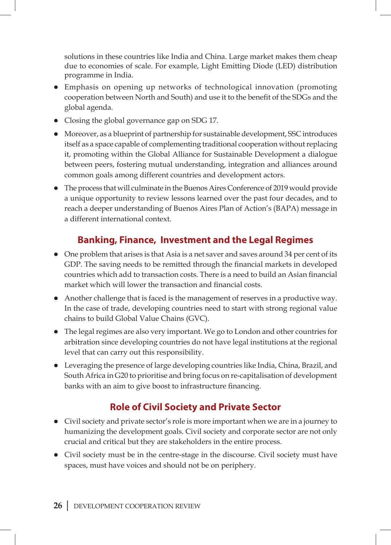solutions in these countries like India and China. Large market makes them cheap due to economies of scale. For example, Light Emitting Diode (LED) distribution programme in India.

- Emphasis on opening up networks of technological innovation (promoting cooperation between North and South) and use it to the benefit of the SDGs and the global agenda.
- Closing the global governance gap on SDG 17.
- l Moreover, as a blueprint of partnership for sustainable development, SSC introduces itself as a space capable of complementing traditional cooperation without replacing it, promoting within the Global Alliance for Sustainable Development a dialogue between peers, fostering mutual understanding, integration and alliances around common goals among different countries and development actors.
- The process that will culminate in the Buenos Aires Conference of 2019 would provide a unique opportunity to review lessons learned over the past four decades, and to reach a deeper understanding of Buenos Aires Plan of Action's (BAPA) message in a different international context.

## **Banking, Finance, Investment and the Legal Regimes**

- $\bullet$  One problem that arises is that Asia is a net saver and saves around 34 per cent of its GDP. The saving needs to be remitted through the financial markets in developed countries which add to transaction costs. There is a need to build an Asian financial market which will lower the transaction and financial costs.
- Another challenge that is faced is the management of reserves in a productive way. In the case of trade, developing countries need to start with strong regional value chains to build Global Value Chains (GVC).
- l The legal regimes are also very important. We go to London and other countries for arbitration since developing countries do not have legal institutions at the regional level that can carry out this responsibility.
- Leveraging the presence of large developing countries like India, China, Brazil, and South Africa in G20 to prioritise and bring focus on re-capitalisation of development banks with an aim to give boost to infrastructure financing.

## **Role of Civil Society and Private Sector**

- Civil society and private sector's role is more important when we are in a journey to humanizing the development goals. Civil society and corporate sector are not only crucial and critical but they are stakeholders in the entire process.
- Civil society must be in the centre-stage in the discourse. Civil society must have spaces, must have voices and should not be on periphery.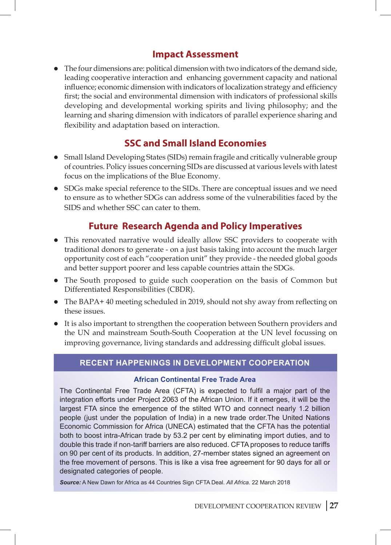## **Impact Assessment**

l The four dimensions are: political dimension with two indicators of the demand side, leading cooperative interaction and enhancing government capacity and national influence; economic dimension with indicators of localization strategy and efficiency first; the social and environmental dimension with indicators of professional skills developing and developmental working spirits and living philosophy; and the learning and sharing dimension with indicators of parallel experience sharing and flexibility and adaptation based on interaction.

## **SSC and Small Island Economies**

- Small Island Developing States (SIDs) remain fragile and critically vulnerable group of countries. Policy issues concerning SIDs are discussed at various levels with latest focus on the implications of the Blue Economy.
- SDGs make special reference to the SIDs. There are conceptual issues and we need to ensure as to whether SDGs can address some of the vulnerabilities faced by the SIDS and whether SSC can cater to them.

## **Future Research Agenda and Policy Imperatives**

- This renovated narrative would ideally allow SSC providers to cooperate with traditional donors to generate - on a just basis taking into account the much larger opportunity cost of each "cooperation unit" they provide - the needed global goods and better support poorer and less capable countries attain the SDGs.
- The South proposed to guide such cooperation on the basis of Common but Differentiated Responsibilities (CBDR).
- The BAPA+ 40 meeting scheduled in 2019, should not shy away from reflecting on these issues.
- It is also important to strengthen the cooperation between Southern providers and the UN and mainstream South-South Cooperation at the UN level focussing on improving governance, living standards and addressing difficult global issues.

### **Recent Happenings in development cooperation**

### **African Continental Free Trade Area**

The Continental Free Trade Area (CFTA) is expected to fulfil a major part of the integration efforts under Project 2063 of the African Union. If it emerges, it will be the largest FTA since the emergence of the stilted WTO and connect nearly 1.2 billion people (just under the population of India) in a new trade order.The United Nations Economic Commission for Africa (UNECA) estimated that the CFTA has the potential both to boost intra-African trade by 53.2 per cent by eliminating import duties, and to double this trade if non-tariff barriers are also reduced. CFTA proposes to reduce tariffs on 90 per cent of its products. In addition, 27-member states signed an agreement on the free movement of persons. This is like a visa free agreement for 90 days for all or designated categories of people.

*Source:* A New Dawn for Africa as 44 Countries Sign CFTA Deal. *All Africa*. 22 March 2018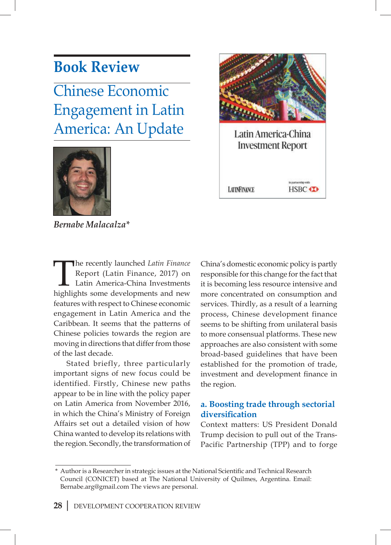## **Book Review**

Chinese Economic Engagement in Latin America: An Update







Stated briefly, three particularly important signs of new focus could be identified. Firstly, Chinese new paths appear to be in line with the policy paper on Latin America from November 2016, in which the China's Ministry of Foreign Affairs set out a detailed vision of how China wanted to develop its relations with the region. Secondly, the transformation of



Latin America-China **Investment Report** 

**LITINFINANCE** 

to compendances!

**HSBC** 

### **a. Boosting trade through sectorial diversification**

Context matters: US President Donald Trump decision to pull out of the Trans-Pacific Partnership (TPP) and to forge

Author is a Researcher in strategic issues at the National Scientific and Technical Research Council (CONICET) based at The National University of Quilmes, Argentina. Email: Bernabe.arg@gmail.com The views are personal.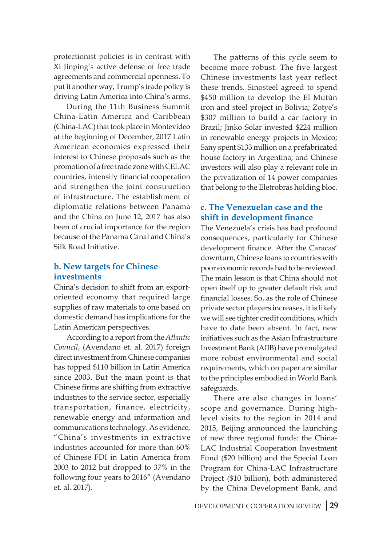protectionist policies is in contrast with Xi Jinping's active defense of free trade agreements and commercial openness. To put it another way, Trump's trade policy is driving Latin America into China's arms.

During the 11th Business Summit China-Latin America and Caribbean (China-LAC) that took place in Montevideo at the beginning of December, 2017 Latin American economies expressed their interest to Chinese proposals such as the promotion of a free trade zone with CELAC countries, intensify financial cooperation and strengthen the joint construction of infrastructure. The establishment of diplomatic relations between Panama and the China on June 12, 2017 has also been of crucial importance for the region because of the Panama Canal and China's Silk Road Initiative.

### **b. New targets for Chinese investments**

China's decision to shift from an exportoriented economy that required large supplies of raw materials to one based on domestic demand has implications for the Latin American perspectives.

According to a report from the *Atlantic Council*, (Avendano et. al. 2017) foreign direct investment from Chinese companies has topped \$110 billion in Latin America since 2003. But the main point is that Chinese firms are shifting from extractive industries to the service sector, especially transportation, finance, electricity, renewable energy and information and communications technology. As evidence, "China's investments in extractive industries accounted for more than 60% of Chinese FDI in Latin America from 2003 to 2012 but dropped to 37% in the following four years to 2016" (Avendano et. al. 2017).

The patterns of this cycle seem to become more robust. The five largest Chinese investments last year reflect these trends. Sinosteel agreed to spend \$450 million to develop the El Mutún iron and steel project in Bolivia; Zotye's \$307 million to build a car factory in Brazil; Jinko Solar invested \$224 million in renewable energy projects in Mexico; Sany spent \$133 million on a prefabricated house factory in Argentina; and Chinese investors will also play a relevant role in the privatization of 14 power companies that belong to the Eletrobras holding bloc.

### **c. The Venezuelan case and the shift in development finance**

The Venezuela's crisis has had profound consequences, particularly for Chinese development finance. After the Caracas' downturn, Chinese loans to countries with poor economic records had to be reviewed. The main lesson is that China should not open itself up to greater default risk and financial losses. So, as the role of Chinese private sector players increases, it is likely we will see tighter credit conditions, which have to date been absent. In fact, new initiatives such as the Asian Infrastructure Investment Bank (AIIB) have promulgated more robust environmental and social requirements, which on paper are similar to the principles embodied in World Bank safeguards.

There are also changes in loans' scope and governance. During highlevel visits to the region in 2014 and 2015, Beijing announced the launching of new three regional funds: the China-LAC Industrial Cooperation Investment Fund (\$20 billion) and the Special Loan Program for China-LAC Infrastructure Project (\$10 billion), both administered by the China Development Bank, and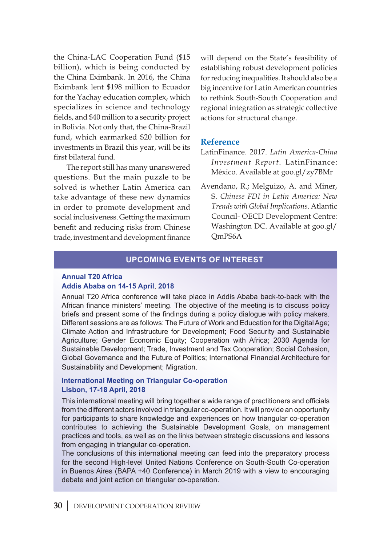the China-LAC Cooperation Fund (\$15 billion), which is being conducted by the China Eximbank. In 2016, the China Eximbank lent \$198 million to Ecuador for the Yachay education complex, which specializes in science and technology fields, and \$40 million to a security project in Bolivia. Not only that, the China-Brazil fund, which earmarked \$20 billion for investments in Brazil this year, will be its first bilateral fund.

The report still has many unanswered questions. But the main puzzle to be solved is whether Latin America can take advantage of these new dynamics in order to promote development and social inclusiveness. Getting the maximum benefit and reducing risks from Chinese trade, investment and development finance will depend on the State's feasibility of establishing robust development policies for reducing inequalities. It should also be a big incentive for Latin American countries to rethink South-South Cooperation and regional integration as strategic collective actions for structural change.

#### **Reference**

- LatinFinance. 2017. *Latin America-China Investment Report*. LatinFinance: México. Available at goo.gl/zy7BMr
- Avendano, R.; Melguizo, A. and Miner, S. *Chinese FDI in Latin America: New Trends with Global Implications*. Atlantic Council- OECD Development Centre: Washington DC. Available at goo.gl/ QmPS6A

#### **Upcoming Events of interest**

#### **Annual T20 Africa Addis Ababa on 14-15 April**, **2018**

Annual T20 Africa conference will take place in Addis Ababa back-to-back with the African finance ministers' meeting. The objective of the meeting is to discuss policy briefs and present some of the findings during a policy dialogue with policy makers. Different sessions are as follows: The Future of Work and Education for the Digital Age; Climate Action and Infrastructure for Development; Food Security and Sustainable Agriculture; Gender Economic Equity; Cooperation with Africa; 2030 Agenda for Sustainable Development; Trade, Investment and Tax Cooperation; Social Cohesion, Global Governance and the Future of Politics; International Financial Architecture for Sustainability and Development; Migration.

### **International Meeting on Triangular Co-operation Lisbon, 17-18 April, 2018**

This international meeting will bring together a wide range of practitioners and officials from the different actors involved in triangular co-operation. It will provide an opportunity for participants to share knowledge and experiences on how triangular co-operation contributes to achieving the Sustainable Development Goals, on management practices and tools, as well as on the links between strategic discussions and lessons from engaging in triangular co-operation.

The conclusions of this international meeting can feed into the preparatory process for the second High-level United Nations Conference on South-South Co-operation in Buenos Aires (BAPA +40 Conference) in March 2019 with a view to encouraging debate and joint action on triangular co-operation.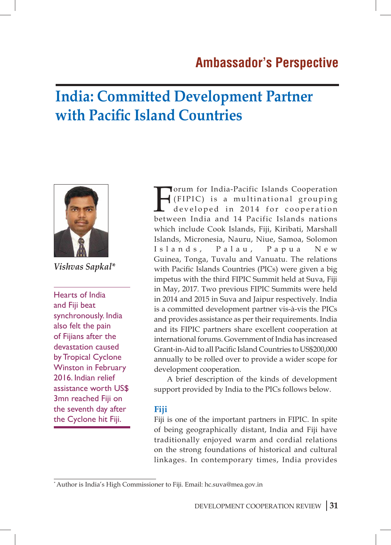## **India: Committed Development Partner with Pacific Island Countries**



*Vishvas Sapkal\**

Hearts of India and Fiji beat synchronously. India also felt the pain of Fijians after the devastation caused by Tropical Cyclone Winston in February 2016. Indian relief assistance worth US\$ 3mn reached Fiji on the seventh day after the Cyclone hit Fiji.

Forum for India-Pacific Islands Cooperation<br>(FIPIC) is a multinational grouping<br>developed in 2014 for cooperation<br>hetween India and 14 Pacific Islands nations (FIPIC) is a multinational grouping developed in 2014 for cooperation between India and 14 Pacific Islands nations which include Cook Islands, Fiji, Kiribati, Marshall Islands, Micronesia, Nauru, Niue, Samoa, Solomon Islands, Palau, Papua New Guinea, Tonga, Tuvalu and Vanuatu. The relations with Pacific Islands Countries (PICs) were given a big impetus with the third FIPIC Summit held at Suva, Fiji in May, 2017. Two previous FIPIC Summits were held in 2014 and 2015 in Suva and Jaipur respectively. India is a committed development partner vis-à-vis the PICs and provides assistance as per their requirements. India and its FIPIC partners share excellent cooperation at international forums. Government of India has increased Grant-in-Aid to all Pacific Island Countries to US\$200,000 annually to be rolled over to provide a wider scope for development cooperation.

A brief description of the kinds of development support provided by India to the PICs follows below.

### **Fiji**

Fiji is one of the important partners in FIPIC. In spite of being geographically distant, India and Fiji have traditionally enjoyed warm and cordial relations on the strong foundations of historical and cultural linkages. In contemporary times, India provides

<sup>\*</sup> Author is India's High Commissioner to Fiji. Email: hc.suva@mea.gov.in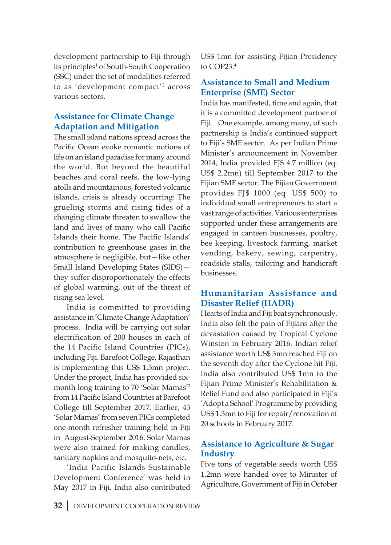development partnership to Fiji through its principles<sup>1</sup> of South-South Cooperation (SSC) under the set of modalities referred to as 'development compact'<sup>2</sup> across various sectors.

### **Assistance for Climate Change Adaptation and Mitigation**

The small island nations spread across the Pacific Ocean evoke romantic notions of life on an island paradise for many around the world. But beyond the beautiful beaches and coral reefs, the low-lying atolls and mountainous, forested volcanic islands, crisis is already occurring: The grueling storms and rising tides of a changing climate threaten to swallow the land and lives of many who call Pacific Islands their home. The Pacific Islands' contribution to greenhouse gases in the atmosphere is negligible, but—like other Small Island Developing States (SIDS) they suffer disproportionately the effects of global warming, out of the threat of rising sea level.

India is committed to providing assistance in 'Climate Change Adaptation' process. India will be carrying out solar electrification of 200 houses in each of the 14 Pacific Island Countries (PICs), including Fiji. Barefoot College, Rajasthan is implementing this US\$ 1.5mn project. Under the project, India has provided sixmonth long training to 70 'Solar Mamas'3 from 14 Pacific Island Countries at Barefoot College till September 2017. Earlier, 43 'Solar Mamas' from seven PICs completed one-month refresher training held in Fiji in August-September 2016. Solar Mamas were also trained for making candles, sanitary napkins and mosquito-nets, etc.

'India Pacific Islands Sustainable Development Conference' was held in May 2017 in Fiji. India also contributed US\$ 1mn for assisting Fijian Presidency to COP23.4

### **Assistance to Small and Medium Enterprise (SME) Sector**

India has manifested, time and again, that it is a committed development partner of Fiji. One example, among many, of such partnership is India's continued support to Fiji's SME sector. As per Indian Prime Minister's announcement in November 2014, India provided FJ\$ 4.7 million (eq. US\$ 2.2mn) till September 2017 to the Fijian SME sector. The Fijian Government provides FJ\$ 1000 (eq. US\$ 500) to individual small entrepreneurs to start a vast range of activities. Various enterprises supported under these arrangements are engaged in canteen businesses, poultry, bee keeping, livestock farming, market vending, bakery, sewing, carpentry, roadside stalls, tailoring and handicraft businesses.

### **Humanitarian Assistance and Disaster Relief (HADR)**

Hearts of India and Fiji beat synchronously. India also felt the pain of Fijians after the devastation caused by Tropical Cyclone Winston in February 2016. Indian relief assistance worth US\$ 3mn reached Fiji on the seventh day after the Cyclone hit Fiji. India also contributed US\$ 1mn to the Fijian Prime Minister's Rehabilitation & Relief Fund and also participated in Fiji's 'Adopt a School' Programme by providing US\$ 1.3mn to Fiji for repair/renovation of 20 schools in February 2017.

### **Assistance to Agriculture & Sugar Industry**

Five tons of vegetable seeds worth US\$ 1.2mn were handed over to Minister of Agriculture, Government of Fiji in October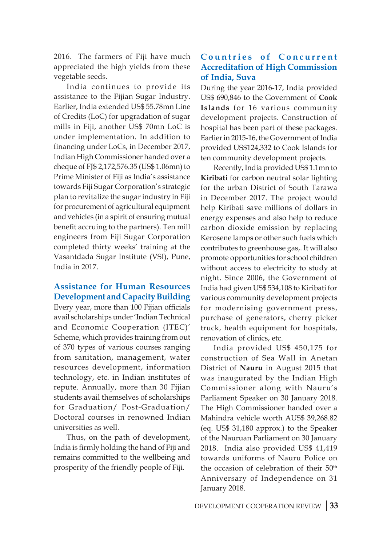2016. The farmers of Fiji have much appreciated the high yields from these vegetable seeds.

India continues to provide its assistance to the Fijian Sugar Industry. Earlier, India extended US\$ 55.78mn Line of Credits (LoC) for upgradation of sugar mills in Fiji, another US\$ 70mn LoC is under implementation. In addition to financing under LoCs, in December 2017, Indian High Commissioner handed over a cheque of FJ\$ 2,172,576.35 (US\$ 1.06mn) to Prime Minister of Fiji as India's assistance towards Fiji Sugar Corporation's strategic plan to revitalize the sugar industry in Fiji for procurement of agricultural equipment and vehicles (in a spirit of ensuring mutual benefit accruing to the partners). Ten mill engineers from Fiji Sugar Corporation completed thirty weeks' training at the Vasantdada Sugar Institute (VSI), Pune, India in 2017.

### **Assistance for Human Resources Development and Capacity Building**

Every year, more than 100 Fijian officials avail scholarships under 'Indian Technical and Economic Cooperation (ITEC)' Scheme, which provides training from out of 370 types of various courses ranging from sanitation, management, water resources development, information technology, etc. in Indian institutes of repute. Annually, more than 30 Fijian students avail themselves of scholarships for Graduation/ Post-Graduation/ Doctoral courses in renowned Indian universities as well.

Thus, on the path of development, India is firmly holding the hand of Fiji and remains committed to the wellbeing and prosperity of the friendly people of Fiji.

### **Countries of Concurrent Accreditation of High Commission of India, Suva**

During the year 2016-17, India provided US\$ 690,846 to the Government of **Cook Islands** for 16 various community development projects. Construction of hospital has been part of these packages. Earlier in 2015-16, the Government of India provided US\$124,332 to Cook Islands for ten community development projects.

Recently, India provided US\$ 1.1mn to **Kiribati** for carbon neutral solar lighting for the urban District of South Tarawa in December 2017. The project would help Kiribati save millions of dollars in energy expenses and also help to reduce carbon dioxide emission by replacing Kerosene lamps or other such fuels which contributes to greenhouse gas,. It will also promote opportunities for school children without access to electricity to study at night. Since 2006, the Government of India had given US\$ 534,108 to Kiribati for various community development projects for modernising government press, purchase of generators, cherry picker truck, health equipment for hospitals, renovation of clinics, etc.

India provided US\$ 450,175 for construction of Sea Wall in Anetan District of **Nauru** in August 2015 that was inaugurated by the Indian High Commissioner along with Nauru's Parliament Speaker on 30 January 2018. The High Commissioner handed over a Mahindra vehicle worth AUS\$ 39,268.82 (eq. US\$ 31,180 approx.) to the Speaker of the Nauruan Parliament on 30 January 2018. India also provided US\$ 41,419 towards uniforms of Nauru Police on the occasion of celebration of their 50<sup>th</sup> Anniversary of Independence on 31 January 2018.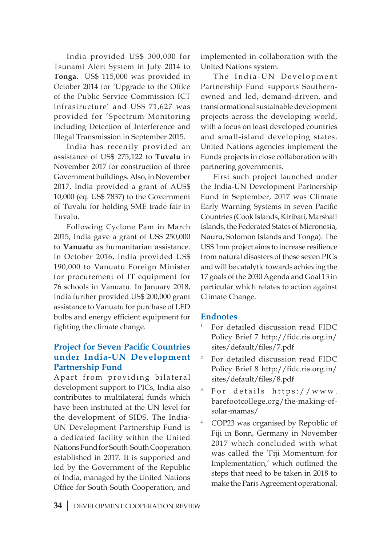India provided US\$ 300,000 for Tsunami Alert System in July 2014 to **Tonga**. US\$ 115,000 was provided in October 2014 for 'Upgrade to the Office of the Public Service Commission ICT Infrastructure' and US\$ 71,627 was provided for 'Spectrum Monitoring including Detection of Interference and Illegal Transmission in September 2015.

India has recently provided an assistance of US\$ 275,122 to **Tuvalu** in November 2017 for construction of three Government buildings. Also, in November 2017, India provided a grant of AUS\$ 10,000 (eq. US\$ 7837) to the Government of Tuvalu for holding SME trade fair in Tuvalu.

Following Cyclone Pam in March 2015, India gave a grant of US\$ 250,000 to **Vanuatu** as humanitarian assistance. In October 2016, India provided US\$ 190,000 to Vanuatu Foreign Minister for procurement of IT equipment for 76 schools in Vanuatu. In January 2018, India further provided US\$ 200,000 grant assistance to Vanuatu for purchase of LED bulbs and energy efficient equipment for fighting the climate change.

### **Project for Seven Pacific Countries under India-UN Development Partnership Fund**

Apart from providing bilateral development support to PICs, India also contributes to multilateral funds which have been instituted at the UN level for the development of SIDS. The India-UN Development Partnership Fund is a dedicated facility within the United Nations Fund for South-South Cooperation established in 2017. It is supported and led by the Government of the Republic of India, managed by the United Nations Office for South-South Cooperation, and implemented in collaboration with the United Nations system.

The India-UN Development Partnership Fund supports Southernowned and led, demand-driven, and transformational sustainable development projects across the developing world, with a focus on least developed countries and small-island developing states. United Nations agencies implement the Funds projects in close collaboration with partnering governments.

First such project launched under the India-UN Development Partnership Fund in September, 2017 was Climate Early Warning Systems in seven Pacific Countries (Cook Islands, Kiribati, Marshall Islands, the Federated States of Micronesia, Nauru, Solomon Islands and Tonga). The US\$ 1mn project aims to increase resilience from natural disasters of these seven PICs and will be catalytic towards achieving the 17 goals of the 2030 Agenda and Goal 13 in particular which relates to action against Climate Change.

### **Endnotes**

- <sup>1</sup> For detailed discussion read FIDC Policy Brief 7 http://fidc.ris.org.in/ sites/default/files/7.pdf
- <sup>2</sup> For detailed discussion read FIDC Policy Brief 8 http://fidc.ris.org.in/ sites/default/files/8.pdf
- <sup>3</sup> For details https://www. barefootcollege.org/the-making-ofsolar-mamas/
- COP23 was organised by Republic of Fiji in Bonn, Germany in November 2017 which concluded with what was called the 'Fiji Momentum for Implementation,' which outlined the steps that need to be taken in 2018 to make the Paris Agreement operational.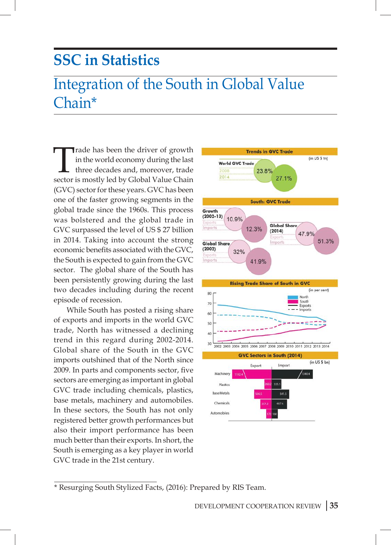## **SSC in Statistics**

## Integration of the South in Global Value Chain\*

Trade has been the driver of growth in the world economy during the last three decades and, moreover, trade sector is mostly led by Global Value Chain (GVC) sector for these years. GVC has been one of the faster growing segments in the global trade since the 1960s. This process was bolstered and the global trade in GVC surpassed the level of US \$ 27 billion in 2014. Taking into account the strong economic benefits associated with the GVC, the South is expected to gain from the GVC sector. The global share of the South has been persistently growing during the last two decades including during the recent episode of recession.

While South has posted a rising share of exports and imports in the world GVC trade, North has witnessed a declining trend in this regard during 2002-2014. Global share of the South in the GVC imports outshined that of the North since 2009. In parts and components sector, five sectors are emerging as important in global GVC trade including chemicals, plastics, base metals, machinery and automobiles. In these sectors, the South has not only registered better growth performances but also their import performance has been much better than their exports. In short, the South is emerging as a key player in world GVC trade in the 21st century.



<sup>\*</sup> Resurging South Stylized Facts, (2016): Prepared by RIS Team.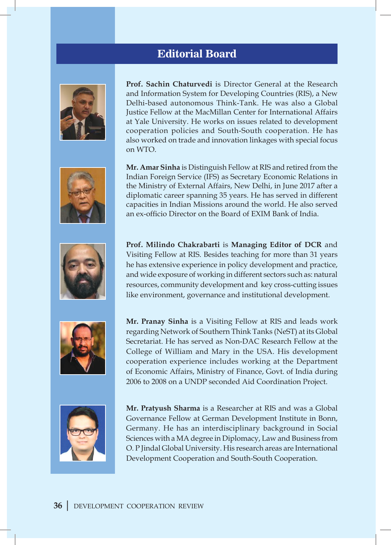## **Editorial Board**











**Prof. Sachin Chaturvedi** is Director General at the Research and Information System for Developing Countries (RIS), a New Delhi-based autonomous Think-Tank. He was also a Global Justice Fellow at the MacMillan Center for International Affairs at Yale University. He works on issues related to development cooperation policies and South-South cooperation. He has also worked on trade and innovation linkages with special focus on WTO.

**Mr. Amar Sinha** is Distinguish Fellow at RIS and retired from the Indian Foreign Service (IFS) as Secretary Economic Relations in the Ministry of External Affairs, New Delhi, in June 2017 after a diplomatic career spanning 35 years. He has served in different capacities in Indian Missions around the world. He also served an ex-officio Director on the Board of EXIM Bank of India.

**Prof. Milindo Chakrabarti** is **Managing Editor of DCR** and Visiting Fellow at RIS. Besides teaching for more than 31 years he has extensive experience in policy development and practice, and wide exposure of working in different sectors such as: natural resources, community development and key cross-cutting issues like environment, governance and institutional development.

**Mr. Pranay Sinha** is a Visiting Fellow at RIS and leads work regarding Network of Southern Think Tanks (NeST) at its Global Secretariat. He has served as Non-DAC Research Fellow at the College of William and Mary in the USA. His development cooperation experience includes working at the Department of Economic Affairs, Ministry of Finance, Govt. of India during 2006 to 2008 on a UNDP seconded Aid Coordination Project.

**Mr. Pratyush Sharma** is a Researcher at RIS and was a Global Governance Fellow at German Development Institute in Bonn, Germany. He has an interdisciplinary background in Social Sciences with a MA degree in Diplomacy, Law and Business from O. P Jindal Global University. His research areas are International Development Cooperation and South-South Cooperation.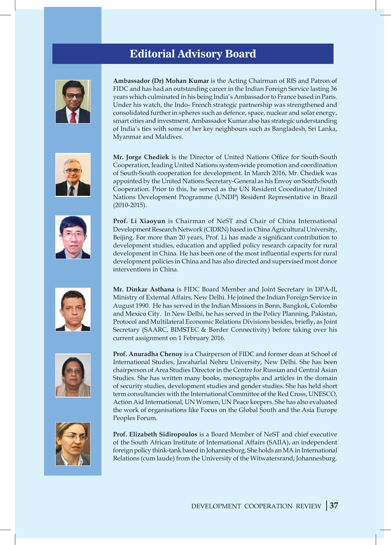## **Editorial Advisory Board**











**Ambassador (Dr) Mohan Kumar** is the Acting Chairman of RIS and Patron of FIDC and has had an outstanding career in the Indian Foreign Service lasting 36 years which culminated in his being India's Ambassador to France based in Paris. Under his watch, the Indo- French strategic partnership was strengthened and consolidated further in spheres such as defence, space, nuclear and solar energy, smart cities and investment. Ambassador Kumar also has strategic understanding of India's ties with some of her key neighbours such as Bangladesh, Sri Lanka, Myanmar and Maldives.

**Mr. Jorge Chediek** is the Director of United Nations Office for South-South Cooperation, leading United Nations system-wide promotion and coordination of South-South cooperation for development. In March 2016, Mr. Chediek was appointed by the United Nations Secretary-General as his Envoy on South-South Cooperation. Prior to this, he served as the UN Resident Coordinator/United Nations Development Programme (UNDP) Resident Representative in Brazil (2010-2015).

**Prof. Li Xiaoyun** is Chairman of NeST and Chair of China International Development Research Network (CIDRN) based in China Agricultural University, Beijing. For more than 20 years, Prof. Li has made a significant contribution to development studies, education and applied policy research capacity for rural development in China. He has been one of the most influential experts for rural development policies in China and has also directed and supervised most donor interventions in China.

**Mr. Dinkar Asthana** is FIDC Board Member and Joint Secretary in DPA-II, Ministry of External Affairs, New Delhi. He joined the Indian Foreign Service in August 1990. He has served in the Indian Missions in Bonn, Bangkok, Colombo and Mexico City. In New Delhi, he has served in the Policy Planning, Pakistan, Protocol and Multilateral Economic Relations Divisions besides, briefly, as Joint Secretary (SAARC, BIMSTEC & Border Connectivity) before taking over his current assignment on 1 February 2016.

**Prof. Anuradha Chenoy** is a Chairperson of FIDC and former dean at School of International Studies, Jawaharlal Nehru University, New Delhi. She has been chairperson of Area Studies Director in the Centre for Russian and Central Asian Studies. She has written many books, monographs and articles in the domain of security studies, development studies and gender studies. She has held short term consultancies with the International Committee of the Red Cross, UNESCO, Action Aid International, UN Women, UN Peace keepers. She has also evaluated the work of organisations like Focus on the Global South and the Asia Europe Peoples Forum.

**Prof. Elizabeth Sidiropoulos** is a Board Member of NeST and chief executive of the South African Institute of International Affairs (SAIIA), an independent foreign policy think-tank based in Johannesburg. She holds an MA in International Relations (cum laude) from the University of the Witwatersrand, Johannesburg.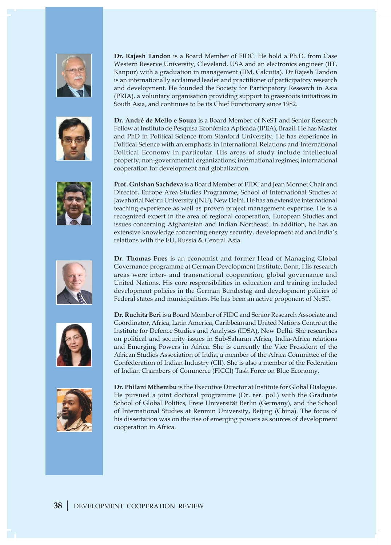











**Dr. Rajesh Tandon** is a Board Member of FIDC. He hold a Ph.D. from Case Western Reserve University, Cleveland, USA and an electronics engineer (IIT, Kanpur) with a graduation in management (IIM, Calcutta). Dr Rajesh Tandon is an internationally acclaimed leader and practitioner of participatory research and development. He founded the Society for Participatory Research in Asia (PRIA), a voluntary organisation providing support to grassroots initiatives in South Asia, and continues to be its Chief Functionary since 1982.

**Dr. André de Mello e Souza** is a Board Member of NeST and Senior Research Fellow at Instituto de Pesquisa Econômica Aplicada (IPEA), Brazil. He has Master and PhD in Political Science from Stanford University. He has experience in Political Science with an emphasis in International Relations and International Political Economy in particular. His areas of study include intellectual property; non-governmental organizations; international regimes; international cooperation for development and globalization.

**Prof. Gulshan Sachdeva** is a Board Member of FIDC and Jean Monnet Chair and Director, Europe Area Studies Programme, School of International Studies at Jawaharlal Nehru University (JNU), New Delhi. He has an extensive international teaching experience as well as proven project management expertise. He is a recognized expert in the area of regional cooperation, European Studies and issues concerning Afghanistan and Indian Northeast. In addition, he has an extensive knowledge concerning energy security, development aid and India's relations with the EU, Russia & Central Asia.

**Dr. Thomas Fues** is an economist and former Head of Managing Global Governance programme at German Development Institute, Bonn. His research areas were inter- and transnational cooperation, global governance and United Nations. His core responsibilities in education and training included development policies in the German Bundestag and development policies of Federal states and municipalities. He has been an active proponent of NeST.

**Dr. Ruchita Beri** is a Board Member of FIDC and Senior Research Associate and Coordinator, Africa, Latin America, Caribbean and United Nations Centre at the Institute for Defence Studies and Analyses (IDSA), New Delhi. She researches on political and security issues in Sub-Saharan Africa, India-Africa relations and Emerging Powers in Africa. She is currently the Vice President of the African Studies Association of India, a member of the Africa Committee of the Confederation of Indian Industry (CII). She is also a member of the Federation of Indian Chambers of Commerce (FICCI) Task Force on Blue Economy.

**Dr. Philani Mthembu** is the Executive Director at Institute for Global Dialogue. He pursued a joint doctoral programme (Dr. rer. pol.) with the Graduate School of Global Politics, Freie Universität Berlin (Germany), and the School of International Studies at Renmin University, Beijing (China). The focus of his dissertation was on the rise of emerging powers as sources of development cooperation in Africa.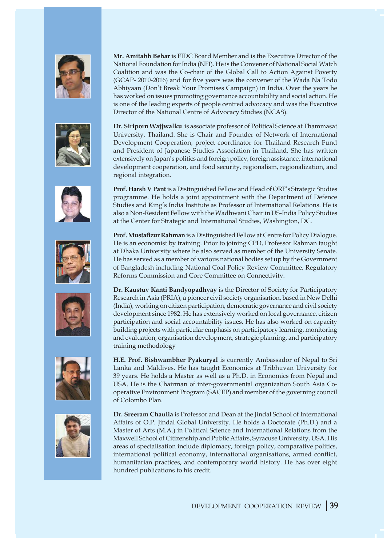













**Mr. Amitabh Behar** is FIDC Board Member and is the Executive Director of the National Foundation for India (NFI). He is the Convener of National Social Watch Coalition and was the Co-chair of the Global Call to Action Against Poverty (GCAP- 2010-2016) and for five years was the convener of the Wada Na Todo Abhiyaan (Don't Break Your Promises Campaign) in India. Over the years he has worked on issues promoting governance accountability and social action. He is one of the leading experts of people centred advocacy and was the Executive Director of the National Centre of Advocacy Studies (NCAS).

**Dr. Siriporn Wajjwalku** is associate professor of Political Science at Thammasat University, Thailand. She is Chair and Founder of Network of International Development Cooperation, project coordinator for Thailand Research Fund and President of Japanese Studies Association in Thailand. She has written extensively on Japan's politics and foreign policy, foreign assistance, international development cooperation, and food security, regionalism, regionalization, and regional integration.

**Prof. Harsh V Pant** is a Distinguished Fellow and Head of ORF's Strategic Studies programme. He holds a joint appointment with the Department of Defence Studies and King's India Institute as Professor of International Relations. He is also a Non-Resident Fellow with the Wadhwani Chair in US-India Policy Studies at the Center for Strategic and International Studies, Washington, DC.

**Prof. Mustafizur Rahman** is a Distinguished Fellow at Centre for Policy Dialogue. He is an economist by training. Prior to joining CPD, Professor Rahman taught at Dhaka University where he also served as member of the University Senate. He has served as a member of various national bodies set up by the Government of Bangladesh including National Coal Policy Review Committee, Regulatory Reforms Commission and Core Committee on Connectivity.

**Dr. Kaustuv Kanti Bandyopadhyay** is the Director of Society for Participatory Research in Asia (PRIA), a pioneer civil society organisation, based in New Delhi (India), working on citizen participation, democratic governance and civil society development since 1982. He has extensively worked on local governance, citizen participation and social accountability issues. He has also worked on capacity building projects with particular emphasis on participatory learning, monitoring and evaluation, organisation development, strategic planning, and participatory training methodology

**H.E. Prof. Bishwambher Pyakuryal** is currently Ambassador of Nepal to Sri Lanka and Maldives. He has taught Economics at Tribhuvan University for 39 years. He holds a Master as well as a Ph.D. in Economics from Nepal and USA. He is the Chairman of inter-governmental organization South Asia Cooperative Environment Program (SACEP) and member of the governing council of Colombo Plan.

**Dr. Sreeram Chaulia** is Professor and Dean at the Jindal School of International Affairs of O.P. Jindal Global University. He holds a Doctorate (Ph.D.) and a Master of Arts (M.A.) in Political Science and International Relations from the Maxwell School of Citizenship and Public Affairs, Syracuse University, USA. His areas of specialisation include diplomacy, foreign policy, comparative politics, international political economy, international organisations, armed conflict, humanitarian practices, and contemporary world history. He has over eight hundred publications to his credit.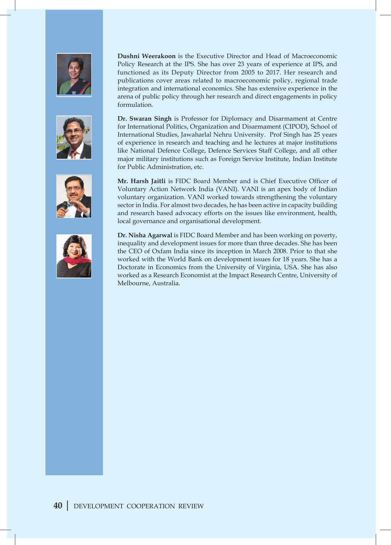







**Dushni Weerakoon** is the Executive Director and Head of Macroeconomic Policy Research at the IPS. She has over 23 years of experience at IPS, and functioned as its Deputy Director from 2005 to 2017. Her research and publications cover areas related to macroeconomic policy, regional trade integration and international economics. She has extensive experience in the arena of public policy through her research and direct engagements in policy formulation.

**Dr. Swaran Singh** is Professor for Diplomacy and Disarmament at Centre for International Politics, Organization and Disarmament (CIPOD), School of International Studies, Jawaharlal Nehru University. Prof Singh has 25 years of experience in research and teaching and he lectures at major institutions like National Defence College, Defence Services Staff College, and all other major military institutions such as Foreign Service Institute, Indian Institute for Public Administration, etc.

**Mr. Harsh Jaitli** is FIDC Board Member and is Chief Executive Officer of Voluntary Action Network India (VANI). VANI is an apex body of Indian voluntary organization. VANI worked towards strengthening the voluntary sector in India. For almost two decades, he has been active in capacity building and research based advocacy efforts on the issues like environment, health, local governance and organisational development.

**Dr. Nisha Agarwal** is FIDC Board Member and has been working on poverty, inequality and development issues for more than three decades. She has been the CEO of Oxfam India since its inception in March 2008. Prior to that she worked with the World Bank on development issues for 18 years. She has a Doctorate in Economics from the University of Virginia, USA. She has also worked as a Research Economist at the Impact Research Centre, University of Melbourne, Australia.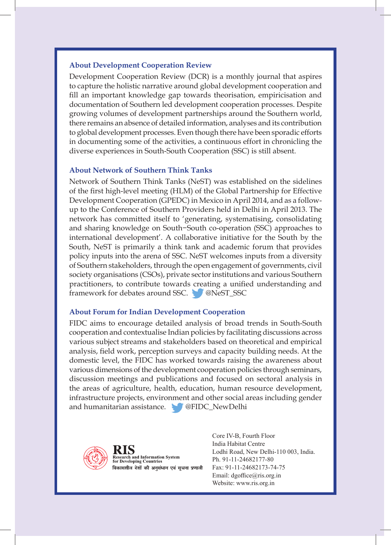### **About Development Cooperation Review**

Development Cooperation Review (DCR) is a monthly journal that aspires to capture the holistic narrative around global development cooperation and fill an important knowledge gap towards theorisation, empiricisation and documentation of Southern led development cooperation processes. Despite growing volumes of development partnerships around the Southern world, there remains an absence of detailed information, analyses and its contribution to global development processes. Even though there have been sporadic efforts in documenting some of the activities, a continuous effort in chronicling the diverse experiences in South-South Cooperation (SSC) is still absent.

#### **About Network of Southern Think Tanks**

Network of Southern Think Tanks (NeST) was established on the sidelines of the first high-level meeting (HLM) of the Global Partnership for Effective Development Cooperation (GPEDC) in Mexico in April 2014, and as a followup to the Conference of Southern Providers held in Delhi in April 2013. The network has committed itself to 'generating, systematising, consolidating and sharing knowledge on South−South co-operation (SSC) approaches to international development'. A collaborative initiative for the South by the South, NeST is primarily a think tank and academic forum that provides policy inputs into the arena of SSC. NeST welcomes inputs from a diversity of Southern stakeholders, through the open engagement of governments, civil society organisations (CSOs), private sector institutions and various Southern practitioners, to contribute towards creating a unified understanding and framework for debates around SSC. @NeST\_SSC

#### **About Forum for Indian Development Cooperation**

FIDC aims to encourage detailed analysis of broad trends in South-South cooperation and contextualise Indian policies by facilitating discussions across various subject streams and stakeholders based on theoretical and empirical analysis, field work, perception surveys and capacity building needs. At the domestic level, the FIDC has worked towards raising the awareness about various dimensions of the development cooperation policies through seminars, discussion meetings and publications and focused on sectoral analysis in the areas of agriculture, health, education, human resource development, infrastructure projects, environment and other social areas including gender and humanitarian assistance. **@FIDC\_NewDelhi** 



RIS **Research and Information System<br>for Developing Countries** विकासशील देशों की अनुसंधान एवं सूचना प्रणाली

Core IV-B, Fourth Floor India Habitat Centre Lodhi Road, New Delhi-110 003, India. Ph. 91-11-24682177-80 Fax: 91-11-24682173-74-75 Email: dgoffice@ris.org.in Website: www.ris.org.in